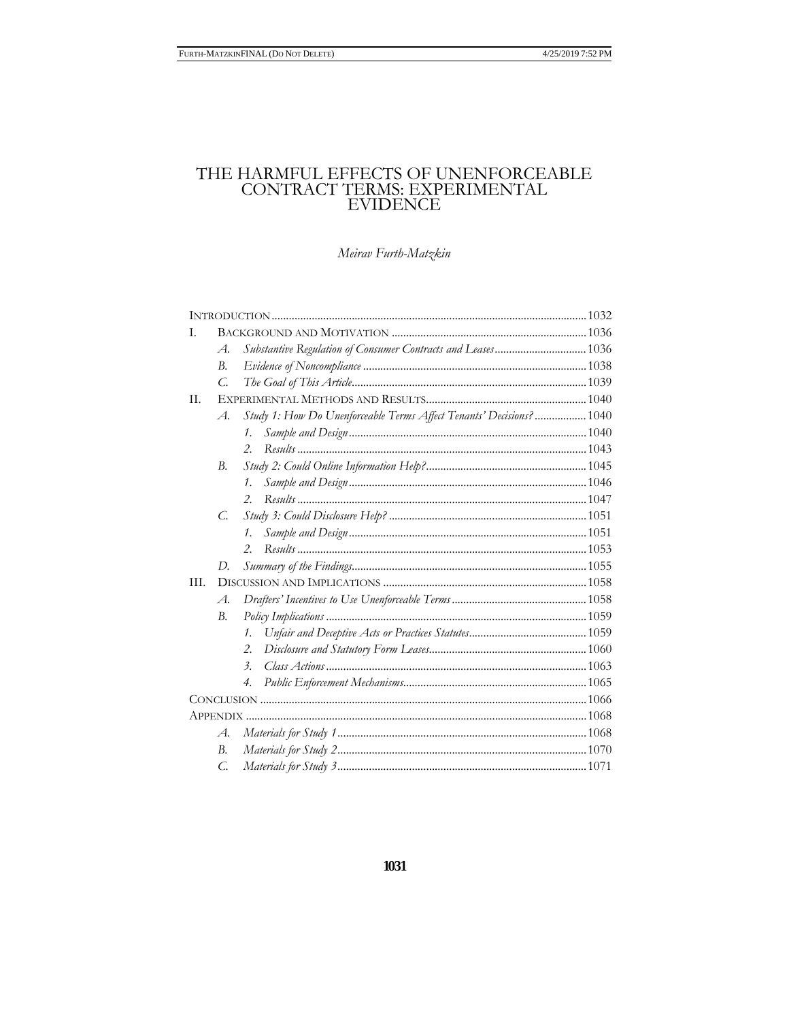# THE HARMFUL EFFECTS OF UNENFORCEABLE CONTRACT TERMS: EXPERIMENTAL EVIDENCE

# Meirav Furth-Matzkin

| L.   |                |                                                                      |  |  |
|------|----------------|----------------------------------------------------------------------|--|--|
|      | $\mathcal{A}.$ | Substantive Regulation of Consumer Contracts and Leases 1036         |  |  |
|      | B.             |                                                                      |  |  |
|      | $\mathcal{C}$  |                                                                      |  |  |
| II.  |                |                                                                      |  |  |
|      | $\mathcal{A}.$ | Study 1: How Do Unenforceable Terms Affect Tenants' Decisions?  1040 |  |  |
|      |                | $\mathcal{I}_{\cdot}$                                                |  |  |
|      |                | $\mathcal{P}_{\cdot}$                                                |  |  |
|      | B.             |                                                                      |  |  |
|      |                | 1.                                                                   |  |  |
|      |                | $\mathcal{P}_{\cdot}$                                                |  |  |
|      | C.             |                                                                      |  |  |
|      |                | 1.                                                                   |  |  |
|      |                | 2.                                                                   |  |  |
|      | D.             |                                                                      |  |  |
| III. |                |                                                                      |  |  |
|      | $\mathcal{A}.$ |                                                                      |  |  |
|      | В.             |                                                                      |  |  |
|      |                | 1.                                                                   |  |  |
|      |                | 2.                                                                   |  |  |
|      |                | $\mathfrak{Z}$ .                                                     |  |  |
|      |                | 4.                                                                   |  |  |
|      |                |                                                                      |  |  |
|      |                |                                                                      |  |  |
|      | $\mathcal{A}.$ |                                                                      |  |  |
|      | B.             |                                                                      |  |  |
|      | C.             |                                                                      |  |  |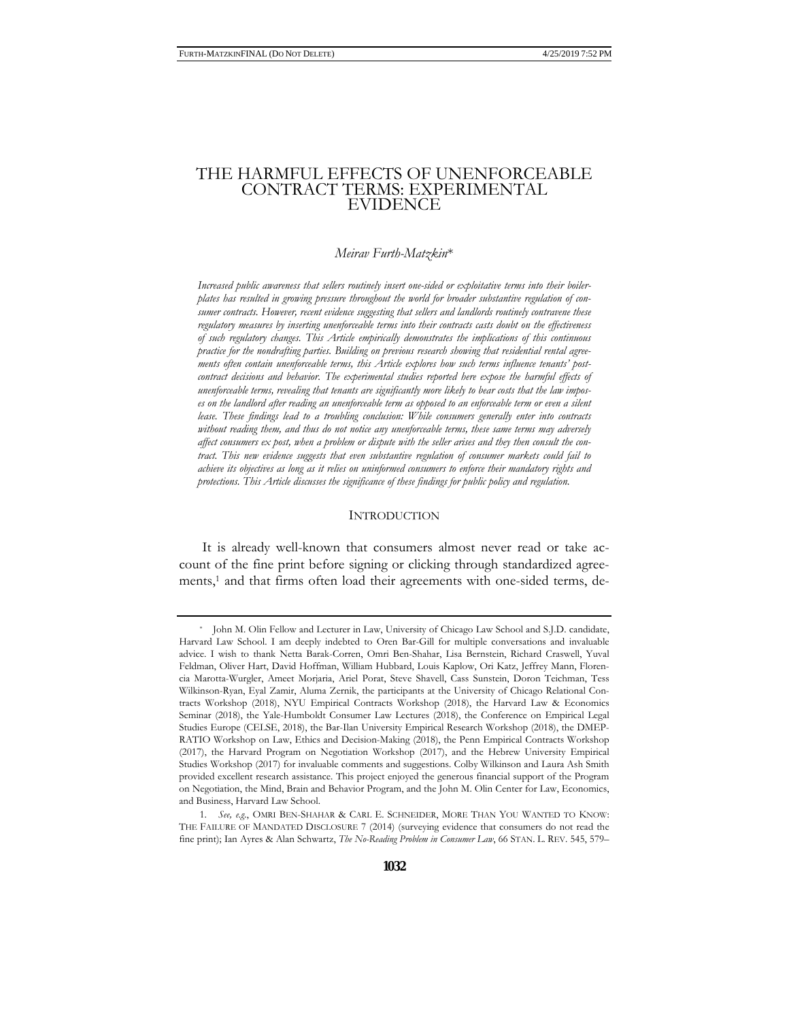# THE HARMFUL EFFECTS OF UNENFORCEABLE CONTRACT TERMS: EXPERIMENTAL EVIDENCE

#### *Meirav Furth-Matzkin*\*

*Increased public awareness that sellers routinely insert one-sided or exploitative terms into their boilerplates has resulted in growing pressure throughout the world for broader substantive regulation of consumer contracts. However, recent evidence suggesting that sellers and landlords routinely contravene these regulatory measures by inserting unenforceable terms into their contracts casts doubt on the effectiveness of such regulatory changes. This Article empirically demonstrates the implications of this continuous practice for the nondrafting parties. Building on previous research showing that residential rental agreements often contain unenforceable terms, this Article explores how such terms influence tenants' postcontract decisions and behavior. The experimental studies reported here expose the harmful effects of unenforceable terms, revealing that tenants are significantly more likely to bear costs that the law imposes on the landlord after reading an unenforceable term as opposed to an enforceable term or even a silent lease. These findings lead to a troubling conclusion: While consumers generally enter into contracts without reading them, and thus do not notice any unenforceable terms, these same terms may adversely affect consumers ex post, when a problem or dispute with the seller arises and they then consult the contract. This new evidence suggests that even substantive regulation of consumer markets could fail to achieve its objectives as long as it relies on uninformed consumers to enforce their mandatory rights and protections. This Article discusses the significance of these findings for public policy and regulation.* 

## **INTRODUCTION**

It is already well-known that consumers almost never read or take account of the fine print before signing or clicking through standardized agreements,<sup>1</sup> and that firms often load their agreements with one-sided terms, de-

<sup>\*</sup> John M. Olin Fellow and Lecturer in Law, University of Chicago Law School and S.J.D. candidate, Harvard Law School. I am deeply indebted to Oren Bar-Gill for multiple conversations and invaluable advice. I wish to thank Netta Barak-Corren, Omri Ben-Shahar, Lisa Bernstein, Richard Craswell, Yuval Feldman, Oliver Hart, David Hoffman, William Hubbard, Louis Kaplow, Ori Katz, Jeffrey Mann, Florencia Marotta-Wurgler, Ameet Morjaria, Ariel Porat, Steve Shavell, Cass Sunstein, Doron Teichman, Tess Wilkinson-Ryan, Eyal Zamir, Aluma Zernik, the participants at the University of Chicago Relational Contracts Workshop (2018), NYU Empirical Contracts Workshop (2018), the Harvard Law & Economics Seminar (2018), the Yale-Humboldt Consumer Law Lectures (2018), the Conference on Empirical Legal Studies Europe (CELSE, 2018), the Bar-Ilan University Empirical Research Workshop (2018), the DMEP-RATIO Workshop on Law, Ethics and Decision-Making (2018), the Penn Empirical Contracts Workshop (2017), the Harvard Program on Negotiation Workshop (2017), and the Hebrew University Empirical Studies Workshop (2017) for invaluable comments and suggestions. Colby Wilkinson and Laura Ash Smith provided excellent research assistance. This project enjoyed the generous financial support of the Program on Negotiation, the Mind, Brain and Behavior Program, and the John M. Olin Center for Law, Economics, and Business, Harvard Law School.

<sup>1.</sup> *See, e.g.*, OMRI BEN-SHAHAR & CARL E. SCHNEIDER, MORE THAN YOU WANTED TO KNOW: THE FAILURE OF MANDATED DISCLOSURE 7 (2014) (surveying evidence that consumers do not read the fine print); Ian Ayres & Alan Schwartz, *The No-Reading Problem in Consumer Law*, 66 STAN. L. REV. 545, 579–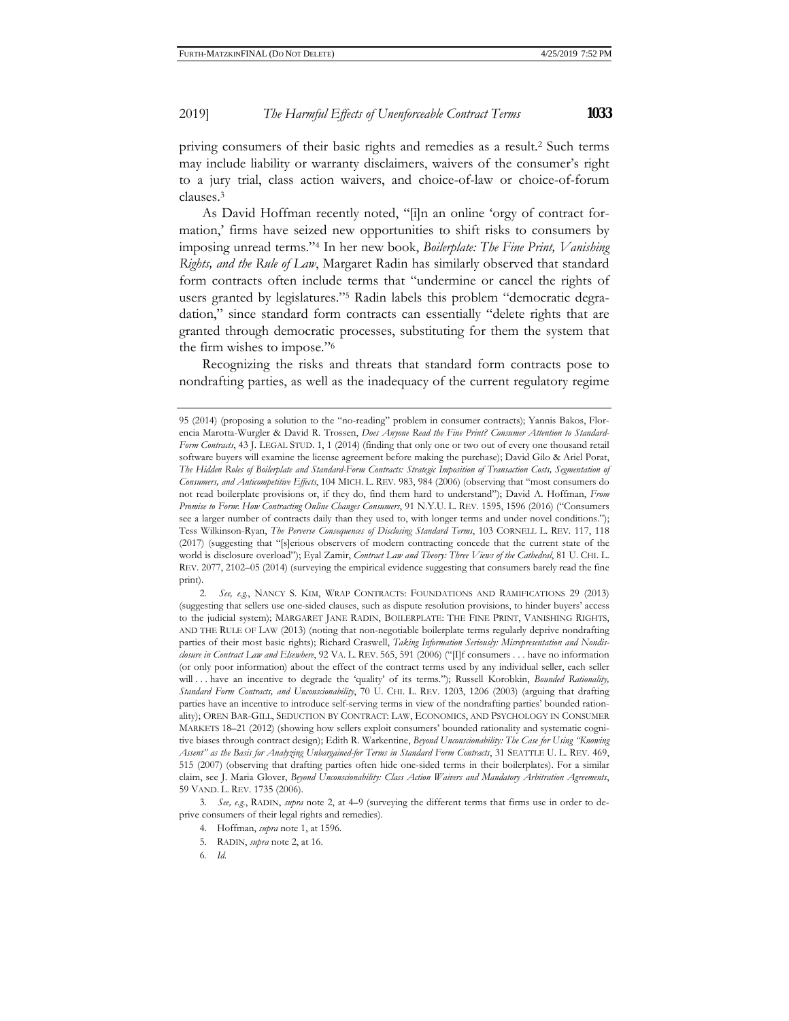priving consumers of their basic rights and remedies as a result.2 Such terms may include liability or warranty disclaimers, waivers of the consumer's right to a jury trial, class action waivers, and choice-of-law or choice-of-forum clauses.3

As David Hoffman recently noted, "[i]n an online 'orgy of contract formation,' firms have seized new opportunities to shift risks to consumers by imposing unread terms."4 In her new book, *Boilerplate: The Fine Print, Vanishing Rights, and the Rule of Law*, Margaret Radin has similarly observed that standard form contracts often include terms that "undermine or cancel the rights of users granted by legislatures."5 Radin labels this problem "democratic degradation," since standard form contracts can essentially "delete rights that are granted through democratic processes, substituting for them the system that the firm wishes to impose."6

Recognizing the risks and threats that standard form contracts pose to nondrafting parties, as well as the inadequacy of the current regulatory regime

<sup>95 (2014) (</sup>proposing a solution to the "no-reading" problem in consumer contracts); Yannis Bakos, Florencia Marotta-Wurgler & David R. Trossen, *Does Anyone Read the Fine Print? Consumer Attention to Standard-Form Contracts*, 43 J. LEGAL STUD. 1, 1 (2014) (finding that only one or two out of every one thousand retail software buyers will examine the license agreement before making the purchase); David Gilo & Ariel Porat, The Hidden Roles of Boilerplate and Standard-Form Contracts: Strategic Imposition of Transaction Costs, Segmentation of *Consumers, and Anticompetitive Effects*, 104 MICH. L. REV. 983, 984 (2006) (observing that "most consumers do not read boilerplate provisions or, if they do, find them hard to understand"); David A. Hoffman, *From Promise to Form*: *How Contracting Online Changes Consumers*, 91 N.Y.U. L. REV. 1595, 1596 (2016) ("Consumers see a larger number of contracts daily than they used to, with longer terms and under novel conditions."); Tess Wilkinson-Ryan, *The Perverse Consequences of Disclosing Standard Terms*, 103 CORNELL L. REV. 117, 118 (2017) (suggesting that "[s]erious observers of modern contracting concede that the current state of the world is disclosure overload"); Eyal Zamir, *Contract Law and Theory: Three Views of the Cathedral*, 81 U. CHI. L. REV. 2077, 2102–05 (2014) (surveying the empirical evidence suggesting that consumers barely read the fine print).

<sup>2.</sup> *See, e.g.*, NANCY S. KIM, WRAP CONTRACTS: FOUNDATIONS AND RAMIFICATIONS 29 (2013) (suggesting that sellers use one-sided clauses, such as dispute resolution provisions, to hinder buyers' access to the judicial system); MARGARET JANE RADIN, BOILERPLATE: THE FINE PRINT, VANISHING RIGHTS, AND THE RULE OF LAW (2013) (noting that non-negotiable boilerplate terms regularly deprive nondrafting parties of their most basic rights); Richard Craswell, *Taking Information Seriously: Misrepresentation and Nondisclosure in Contract Law and Elsewhere*, 92 VA. L. REV. 565, 591 (2006) ("[I]f consumers . . . have no information (or only poor information) about the effect of the contract terms used by any individual seller, each seller will . . . have an incentive to degrade the 'quality' of its terms."); Russell Korobkin, *Bounded Rationality*, *Standard Form Contracts, and Unconscionability*, 70 U. CHI. L. REV. 1203, 1206 (2003) (arguing that drafting parties have an incentive to introduce self-serving terms in view of the nondrafting parties' bounded rationality); OREN BAR-GILL, SEDUCTION BY CONTRACT: LAW, ECONOMICS, AND PSYCHOLOGY IN CONSUMER MARKETS 18–21 (2012) (showing how sellers exploit consumers' bounded rationality and systematic cognitive biases through contract design); Edith R. Warkentine, *Beyond Unconscionability: The Case for Using "Knowing Assent" as the Basis for Analyzing Unbargained-for Terms in Standard Form Contracts*, 31 SEATTLE U. L. REV. 469, 515 (2007) (observing that drafting parties often hide one-sided terms in their boilerplates). For a similar claim, see J. Maria Glover, *Beyond Unconscionability: Class Action Waivers and Mandatory Arbitration Agreements*, 59 VAND. L. REV. 1735 (2006).

<sup>3.</sup> *See, e.g.*, RADIN, *supra* note 2, at 4–9 (surveying the different terms that firms use in order to deprive consumers of their legal rights and remedies).

<sup>4.</sup> Hoffman, *supra* note 1, at 1596.

<sup>5.</sup> RADIN, *supra* note 2, at 16.

<sup>6.</sup> *Id.*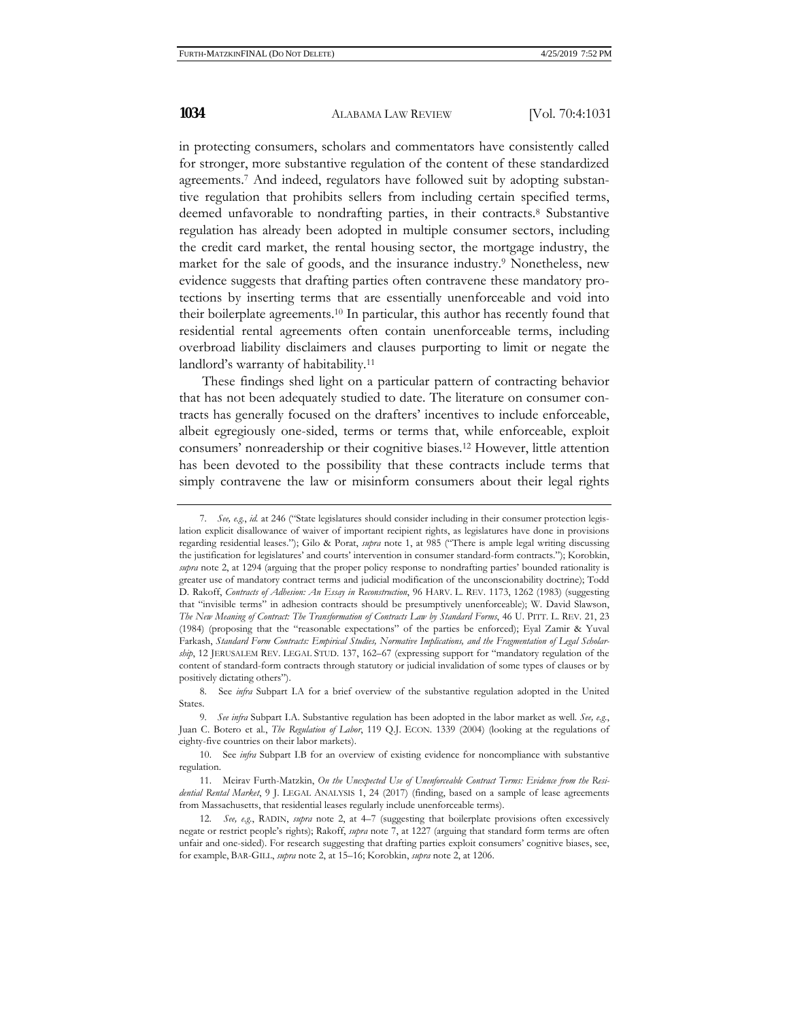in protecting consumers, scholars and commentators have consistently called for stronger, more substantive regulation of the content of these standardized agreements.7 And indeed, regulators have followed suit by adopting substantive regulation that prohibits sellers from including certain specified terms, deemed unfavorable to nondrafting parties, in their contracts.8 Substantive regulation has already been adopted in multiple consumer sectors, including the credit card market, the rental housing sector, the mortgage industry, the market for the sale of goods, and the insurance industry.9 Nonetheless, new evidence suggests that drafting parties often contravene these mandatory protections by inserting terms that are essentially unenforceable and void into their boilerplate agreements.10 In particular, this author has recently found that residential rental agreements often contain unenforceable terms, including overbroad liability disclaimers and clauses purporting to limit or negate the landlord's warranty of habitability.11

These findings shed light on a particular pattern of contracting behavior that has not been adequately studied to date. The literature on consumer contracts has generally focused on the drafters' incentives to include enforceable, albeit egregiously one-sided, terms or terms that, while enforceable, exploit consumers' nonreadership or their cognitive biases.12 However, little attention has been devoted to the possibility that these contracts include terms that simply contravene the law or misinform consumers about their legal rights

<sup>7.</sup> *See, e.g.*, *id.* at 246 ("State legislatures should consider including in their consumer protection legislation explicit disallowance of waiver of important recipient rights, as legislatures have done in provisions regarding residential leases."); Gilo & Porat, *supra* note 1, at 985 ("There is ample legal writing discussing the justification for legislatures' and courts' intervention in consumer standard-form contracts."); Korobkin, *supra* note 2, at 1294 (arguing that the proper policy response to nondrafting parties' bounded rationality is greater use of mandatory contract terms and judicial modification of the unconscionability doctrine); Todd D. Rakoff, *Contracts of Adhesion: An Essay in Reconstruction*, 96 HARV. L. REV. 1173, 1262 (1983) (suggesting that "invisible terms" in adhesion contracts should be presumptively unenforceable); W. David Slawson, *The New Meaning of Contract: The Transformation of Contracts Law by Standard Forms*, 46 U. PITT. L. REV. 21, 23 (1984) (proposing that the "reasonable expectations" of the parties be enforced); Eyal Zamir & Yuval Farkash, *Standard Form Contracts: Empirical Studies, Normative Implications, and the Fragmentation of Legal Scholarship*, 12 JERUSALEM REV. LEGAL STUD. 137, 162–67 (expressing support for "mandatory regulation of the content of standard-form contracts through statutory or judicial invalidation of some types of clauses or by positively dictating others").

<sup>8.</sup> See *infra* Subpart I.A for a brief overview of the substantive regulation adopted in the United States.

<sup>9.</sup> *See infra* Subpart I.A. Substantive regulation has been adopted in the labor market as well. *See, e.g.*, Juan C. Botero et al., *The Regulation of Labor*, 119 Q.J. ECON. 1339 (2004) (looking at the regulations of eighty-five countries on their labor markets).

<sup>10.</sup> See *infra* Subpart I.B for an overview of existing evidence for noncompliance with substantive regulation.

<sup>11.</sup> Meirav Furth-Matzkin, *On the Unexpected Use of Unenforceable Contract Terms: Evidence from the Residential Rental Market*, 9 J. LEGAL ANALYSIS 1, 24 (2017) (finding, based on a sample of lease agreements from Massachusetts, that residential leases regularly include unenforceable terms).

<sup>12.</sup> *See, e.g.*, RADIN, *supra* note 2, at 4–7 (suggesting that boilerplate provisions often excessively negate or restrict people's rights); Rakoff, *supra* note 7, at 1227 (arguing that standard form terms are often unfair and one-sided). For research suggesting that drafting parties exploit consumers' cognitive biases, see, for example, BAR-GILL, *supra* note 2, at 15–16; Korobkin, *supra* note 2, at 1206.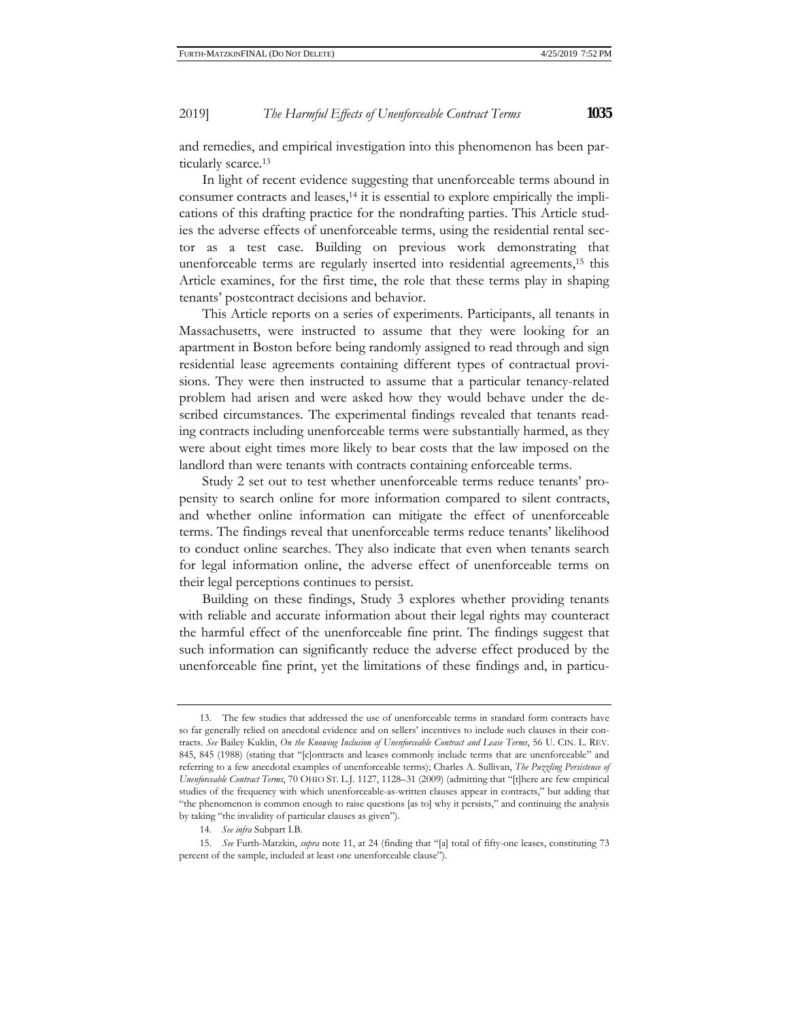and remedies, and empirical investigation into this phenomenon has been particularly scarce.13

In light of recent evidence suggesting that unenforceable terms abound in consumer contracts and leases,14 it is essential to explore empirically the implications of this drafting practice for the nondrafting parties. This Article studies the adverse effects of unenforceable terms, using the residential rental sector as a test case. Building on previous work demonstrating that unenforceable terms are regularly inserted into residential agreements,<sup>15</sup> this Article examines, for the first time, the role that these terms play in shaping tenants' postcontract decisions and behavior.

This Article reports on a series of experiments. Participants, all tenants in Massachusetts, were instructed to assume that they were looking for an apartment in Boston before being randomly assigned to read through and sign residential lease agreements containing different types of contractual provisions. They were then instructed to assume that a particular tenancy-related problem had arisen and were asked how they would behave under the described circumstances. The experimental findings revealed that tenants reading contracts including unenforceable terms were substantially harmed, as they were about eight times more likely to bear costs that the law imposed on the landlord than were tenants with contracts containing enforceable terms.

Study 2 set out to test whether unenforceable terms reduce tenants' propensity to search online for more information compared to silent contracts, and whether online information can mitigate the effect of unenforceable terms. The findings reveal that unenforceable terms reduce tenants' likelihood to conduct online searches. They also indicate that even when tenants search for legal information online, the adverse effect of unenforceable terms on their legal perceptions continues to persist.

Building on these findings, Study 3 explores whether providing tenants with reliable and accurate information about their legal rights may counteract the harmful effect of the unenforceable fine print. The findings suggest that such information can significantly reduce the adverse effect produced by the unenforceable fine print, yet the limitations of these findings and, in particu-

<sup>13.</sup> The few studies that addressed the use of unenforceable terms in standard form contracts have so far generally relied on anecdotal evidence and on sellers' incentives to include such clauses in their contracts. *See* Bailey Kuklin, *On the Knowing Inclusion of Unenforceable Contract and Lease Terms*, 56 U. CIN. L. REV. 845, 845 (1988) (stating that "[c]ontracts and leases commonly include terms that are unenforceable" and referring to a few anecdotal examples of unenforceable terms); Charles A. Sullivan, *The Puzzling Persistence of Unenforceable Contract Terms*, 70 OHIO ST. L.J. 1127, 1128–31 (2009) (admitting that "[t]here are few empirical studies of the frequency with which unenforceable-as-written clauses appear in contracts," but adding that "the phenomenon is common enough to raise questions [as to] why it persists," and continuing the analysis by taking "the invalidity of particular clauses as given").

<sup>14.</sup> *See infra* Subpart I.B.

<sup>15.</sup> *See* Furth-Matzkin, *supra* note 11, at 24 (finding that "[a] total of fifty-one leases, constituting 73 percent of the sample, included at least one unenforceable clause").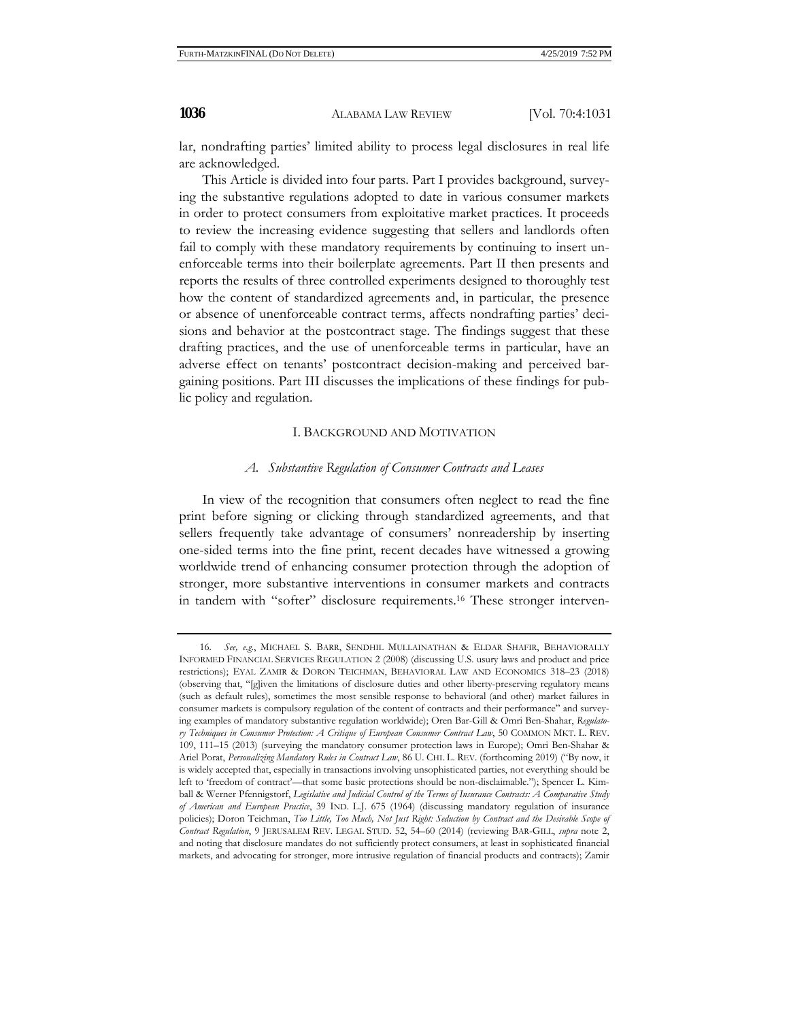lar, nondrafting parties' limited ability to process legal disclosures in real life are acknowledged.

This Article is divided into four parts. Part I provides background, surveying the substantive regulations adopted to date in various consumer markets in order to protect consumers from exploitative market practices. It proceeds to review the increasing evidence suggesting that sellers and landlords often fail to comply with these mandatory requirements by continuing to insert unenforceable terms into their boilerplate agreements. Part II then presents and reports the results of three controlled experiments designed to thoroughly test how the content of standardized agreements and, in particular, the presence or absence of unenforceable contract terms, affects nondrafting parties' decisions and behavior at the postcontract stage. The findings suggest that these drafting practices, and the use of unenforceable terms in particular, have an adverse effect on tenants' postcontract decision-making and perceived bargaining positions. Part III discusses the implications of these findings for public policy and regulation.

#### I. BACKGROUND AND MOTIVATION

## *A. Substantive Regulation of Consumer Contracts and Leases*

In view of the recognition that consumers often neglect to read the fine print before signing or clicking through standardized agreements, and that sellers frequently take advantage of consumers' nonreadership by inserting one-sided terms into the fine print, recent decades have witnessed a growing worldwide trend of enhancing consumer protection through the adoption of stronger, more substantive interventions in consumer markets and contracts in tandem with "softer" disclosure requirements.16 These stronger interven-

<sup>16.</sup> *See, e.g.*, MICHAEL S. BARR, SENDHIL MULLAINATHAN & ELDAR SHAFIR, BEHAVIORALLY INFORMED FINANCIAL SERVICES REGULATION 2 (2008) (discussing U.S. usury laws and product and price restrictions); EYAL ZAMIR & DORON TEICHMAN, BEHAVIORAL LAW AND ECONOMICS 318–23 (2018) (observing that, "[g]iven the limitations of disclosure duties and other liberty-preserving regulatory means (such as default rules), sometimes the most sensible response to behavioral (and other) market failures in consumer markets is compulsory regulation of the content of contracts and their performance" and surveying examples of mandatory substantive regulation worldwide); Oren Bar-Gill & Omri Ben-Shahar, *Regulatory Techniques in Consumer Protection: A Critique of European Consumer Contract Law*, 50 COMMON MKT. L. REV. 109, 111–15 (2013) (surveying the mandatory consumer protection laws in Europe); Omri Ben-Shahar & Ariel Porat, *Personalizing Mandatory Rules in Contract Law*, 86 U. CHI. L. REV. (forthcoming 2019) ("By now, it is widely accepted that, especially in transactions involving unsophisticated parties, not everything should be left to 'freedom of contract'—that some basic protections should be non-disclaimable."); Spencer L. Kimball & Werner Pfennigstorf, *Legislative and Judicial Control of the Terms of Insurance Contracts: A Comparative Study of American and European Practice*, 39 IND. L.J. 675 (1964) (discussing mandatory regulation of insurance policies); Doron Teichman, *Too Little, Too Much, Not Just Right: Seduction by Contract and the Desirable Scope of Contract Regulation*, 9 JERUSALEM REV. LEGAL STUD. 52, 54–60 (2014) (reviewing BAR-GILL, *supra* note 2, and noting that disclosure mandates do not sufficiently protect consumers, at least in sophisticated financial markets, and advocating for stronger, more intrusive regulation of financial products and contracts); Zamir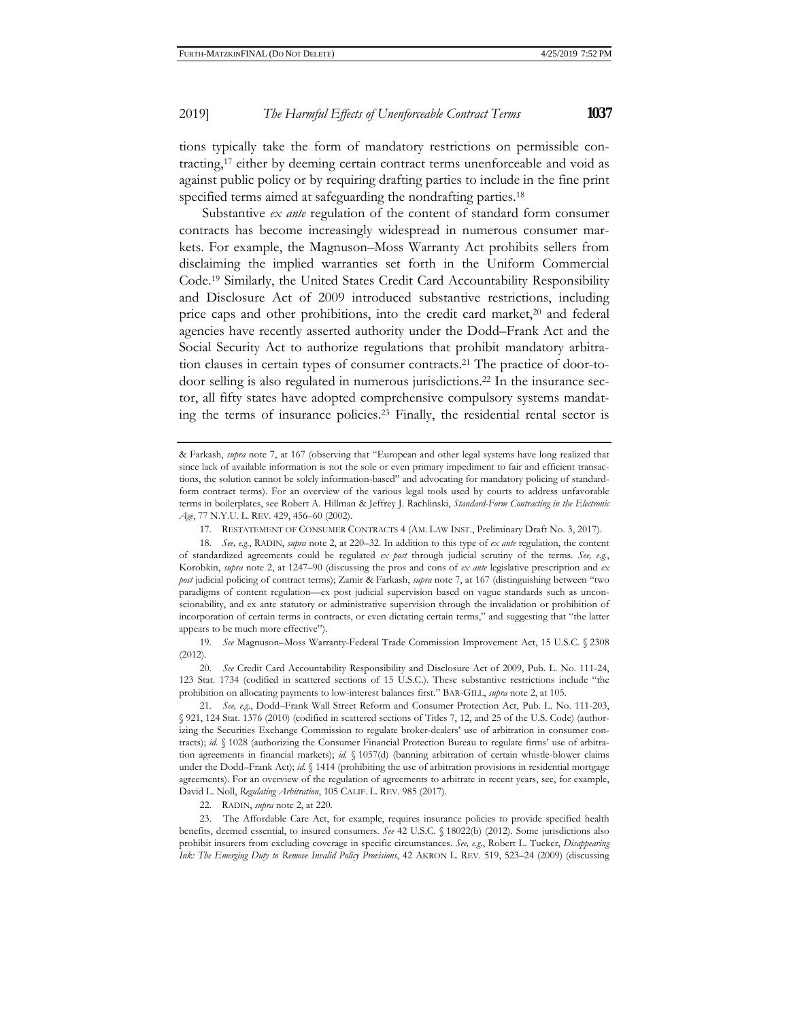tions typically take the form of mandatory restrictions on permissible contracting,17 either by deeming certain contract terms unenforceable and void as against public policy or by requiring drafting parties to include in the fine print specified terms aimed at safeguarding the nondrafting parties.<sup>18</sup>

Substantive *ex ante* regulation of the content of standard form consumer contracts has become increasingly widespread in numerous consumer markets. For example, the Magnuson–Moss Warranty Act prohibits sellers from disclaiming the implied warranties set forth in the Uniform Commercial Code.19 Similarly, the United States Credit Card Accountability Responsibility and Disclosure Act of 2009 introduced substantive restrictions, including price caps and other prohibitions, into the credit card market,<sup>20</sup> and federal agencies have recently asserted authority under the Dodd–Frank Act and the Social Security Act to authorize regulations that prohibit mandatory arbitration clauses in certain types of consumer contracts.21 The practice of door-todoor selling is also regulated in numerous jurisdictions.22 In the insurance sector, all fifty states have adopted comprehensive compulsory systems mandating the terms of insurance policies.23 Finally, the residential rental sector is

19. *See* Magnuson–Moss Warranty-Federal Trade Commission Improvement Act, 15 U.S.C. § 2308 (2012).

20. *See* Credit Card Accountability Responsibility and Disclosure Act of 2009, Pub. L. No. 111-24, 123 Stat. 1734 (codified in scattered sections of 15 U.S.C.). These substantive restrictions include "the prohibition on allocating payments to low-interest balances first." BAR-GILL, *supra* note 2, at 105.

21. *See, e.g.*, Dodd–Frank Wall Street Reform and Consumer Protection Act, Pub. L. No. 111-203, § 921, 124 Stat. 1376 (2010) (codified in scattered sections of Titles 7, 12, and 25 of the U.S. Code) (authorizing the Securities Exchange Commission to regulate broker-dealers' use of arbitration in consumer contracts); *id.* § 1028 (authorizing the Consumer Financial Protection Bureau to regulate firms' use of arbitration agreements in financial markets); *id.* § 1057(d) (banning arbitration of certain whistle-blower claims under the Dodd–Frank Act); *id.* § 1414 (prohibiting the use of arbitration provisions in residential mortgage agreements). For an overview of the regulation of agreements to arbitrate in recent years, see, for example, David L. Noll, *Regulating Arbitration*, 105 CALIF. L. REV. 985 (2017).

22. RADIN, *supra* note 2, at 220.

23. The Affordable Care Act, for example, requires insurance policies to provide specified health benefits, deemed essential, to insured consumers. *See* 42 U.S.C. § 18022(b) (2012). Some jurisdictions also prohibit insurers from excluding coverage in specific circumstances. *See, e.g.*, Robert L. Tucker, *Disappearing Ink: The Emerging Duty to Remove Invalid Policy Provisions*, 42 AKRON L. REV. 519, 523–24 (2009) (discussing

<sup>&</sup>amp; Farkash, *supra* note 7, at 167 (observing that "European and other legal systems have long realized that since lack of available information is not the sole or even primary impediment to fair and efficient transactions, the solution cannot be solely information-based" and advocating for mandatory policing of standardform contract terms). For an overview of the various legal tools used by courts to address unfavorable terms in boilerplates, see Robert A. Hillman & Jeffrey J. Rachlinski, *Standard-Form Contracting in the Electronic Age*, 77 N.Y.U. L. REV. 429, 456–60 (2002).

<sup>17.</sup> RESTATEMENT OF CONSUMER CONTRACTS 4 (AM. LAW INST., Preliminary Draft No. 3, 2017).

<sup>18.</sup> *See, e.g*., RADIN, *supra* note 2, at 220–32. In addition to this type of *ex ante* regulation, the content of standardized agreements could be regulated *ex post* through judicial scrutiny of the terms. *See, e.g.*, Korobkin, *supra* note 2, at 1247–90 (discussing the pros and cons of *ex ante* legislative prescription and *ex post* judicial policing of contract terms); Zamir & Farkash, *supra* note 7, at 167 (distinguishing between "two paradigms of content regulation—ex post judicial supervision based on vague standards such as unconscionability, and ex ante statutory or administrative supervision through the invalidation or prohibition of incorporation of certain terms in contracts, or even dictating certain terms," and suggesting that "the latter appears to be much more effective").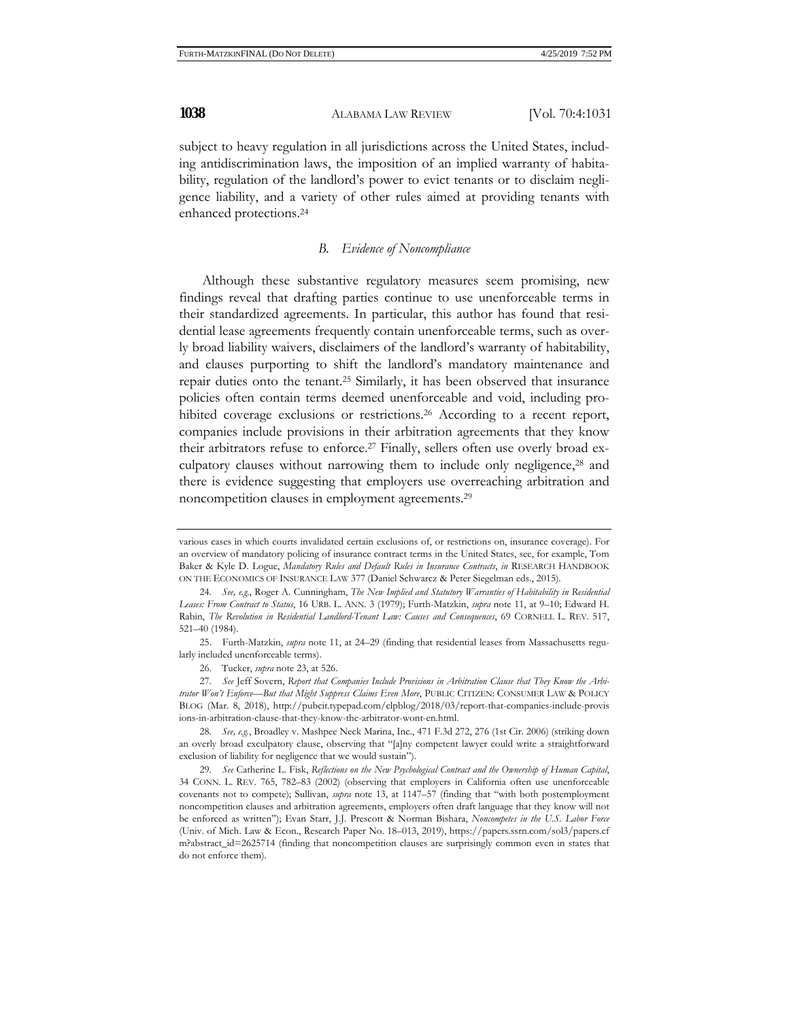subject to heavy regulation in all jurisdictions across the United States, including antidiscrimination laws, the imposition of an implied warranty of habitability, regulation of the landlord's power to evict tenants or to disclaim negligence liability, and a variety of other rules aimed at providing tenants with enhanced protections.24

## *B. Evidence of Noncompliance*

Although these substantive regulatory measures seem promising, new findings reveal that drafting parties continue to use unenforceable terms in their standardized agreements. In particular, this author has found that residential lease agreements frequently contain unenforceable terms, such as overly broad liability waivers, disclaimers of the landlord's warranty of habitability, and clauses purporting to shift the landlord's mandatory maintenance and repair duties onto the tenant.25 Similarly, it has been observed that insurance policies often contain terms deemed unenforceable and void, including prohibited coverage exclusions or restrictions.<sup>26</sup> According to a recent report, companies include provisions in their arbitration agreements that they know their arbitrators refuse to enforce.27 Finally, sellers often use overly broad exculpatory clauses without narrowing them to include only negligence,28 and there is evidence suggesting that employers use overreaching arbitration and noncompetition clauses in employment agreements.29

25. Furth-Matzkin, *supra* note 11, at 24–29 (finding that residential leases from Massachusetts regularly included unenforceable terms).

26. Tucker, *supra* note 23, at 526.

various cases in which courts invalidated certain exclusions of, or restrictions on, insurance coverage). For an overview of mandatory policing of insurance contract terms in the United States, see, for example, Tom Baker & Kyle D. Logue, *Mandatory Rules and Default Rules in Insurance Contracts*, *in* RESEARCH HANDBOOK ON THE ECONOMICS OF INSURANCE LAW 377 (Daniel Schwarcz & Peter Siegelman eds., 2015).

<sup>24.</sup> *See, e.g*., Roger A. Cunningham, *The New Implied and Statutory Warranties of Habitability in Residential Leases: From Contract to Status*, 16 URB. L. ANN. 3 (1979); Furth-Matzkin, *supra* note 11, at 9–10; Edward H. Rabin, *The Revolution in Residential Landlord-Tenant Law: Causes and Consequences*, 69 CORNELL L. REV. 517, 521–40 (1984).

<sup>27.</sup> *See* Jeff Sovern, *Report that Companies Include Provisions in Arbitration Clause that They Know the Arbitrator Won't Enforce—But that Might Suppress Claims Even More*, PUBLIC CITIZEN: CONSUMER LAW & POLICY BLOG (Mar. 8, 2018), http://pubcit.typepad.com/clpblog/2018/03/report-that-companies-include-provis ions-in-arbitration-clause-that-they-know-the-arbitrator-wont-en.html.

<sup>28.</sup> *See, e.g.*, Broadley v. Mashpee Neck Marina, Inc., 471 F.3d 272, 276 (1st Cir. 2006) (striking down an overly broad exculpatory clause, observing that "[a]ny competent lawyer could write a straightforward exclusion of liability for negligence that we would sustain").

<sup>29.</sup> *See* Catherine L. Fisk, *Reflections on the New Psychological Contract and the Ownership of Human Capital*, 34 CONN. L. REV. 765, 782–83 (2002) (observing that employers in California often use unenforceable covenants not to compete); Sullivan, *supra* note 13, at 1147–57 (finding that "with both postemployment noncompetition clauses and arbitration agreements, employers often draft language that they know will not be enforced as written"); Evan Starr, J.J. Prescott & Norman Bishara, *Noncompetes in the U.S. Labor Force*  (Univ. of Mich. Law & Econ., Research Paper No. 18–013, 2019), https://papers.ssrn.com/sol3/papers.cf m?abstract\_id=2625714 (finding that noncompetition clauses are surprisingly common even in states that do not enforce them).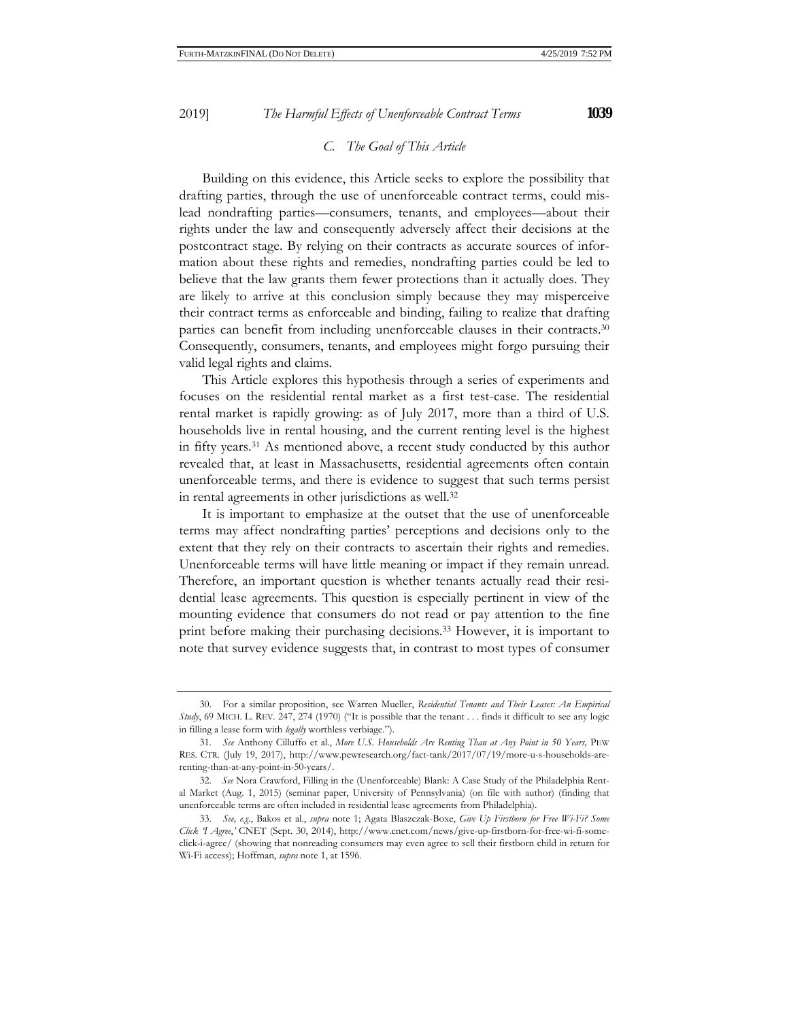Building on this evidence, this Article seeks to explore the possibility that drafting parties, through the use of unenforceable contract terms, could mislead nondrafting parties—consumers, tenants, and employees—about their rights under the law and consequently adversely affect their decisions at the postcontract stage. By relying on their contracts as accurate sources of information about these rights and remedies, nondrafting parties could be led to believe that the law grants them fewer protections than it actually does. They

are likely to arrive at this conclusion simply because they may misperceive their contract terms as enforceable and binding, failing to realize that drafting parties can benefit from including unenforceable clauses in their contracts.30 Consequently, consumers, tenants, and employees might forgo pursuing their valid legal rights and claims.

This Article explores this hypothesis through a series of experiments and focuses on the residential rental market as a first test-case. The residential rental market is rapidly growing: as of July 2017, more than a third of U.S. households live in rental housing, and the current renting level is the highest in fifty years.31 As mentioned above, a recent study conducted by this author revealed that, at least in Massachusetts, residential agreements often contain unenforceable terms, and there is evidence to suggest that such terms persist in rental agreements in other jurisdictions as well.32

It is important to emphasize at the outset that the use of unenforceable terms may affect nondrafting parties' perceptions and decisions only to the extent that they rely on their contracts to ascertain their rights and remedies. Unenforceable terms will have little meaning or impact if they remain unread. Therefore, an important question is whether tenants actually read their residential lease agreements. This question is especially pertinent in view of the mounting evidence that consumers do not read or pay attention to the fine print before making their purchasing decisions.33 However, it is important to note that survey evidence suggests that, in contrast to most types of consumer

<sup>30.</sup> For a similar proposition, see Warren Mueller, *Residential Tenants and Their Leases: An Empirical Study*, 69 MICH. L. REV. 247, 274 (1970) ("It is possible that the tenant . . . finds it difficult to see any logic in filling a lease form with *legally* worthless verbiage.").

<sup>31.</sup> *See* Anthony Cilluffo et al., *More U.S. Households Are Renting Than at Any Point in 50 Years,* PEW RES. CTR*.* (July 19, 2017), http://www.pewresearch.org/fact-tank/2017/07/19/more-u-s-households-arerenting-than-at-any-point-in-50-years/.

<sup>32.</sup> *See* Nora Crawford, Filling in the (Unenforceable) Blank: A Case Study of the Philadelphia Rental Market (Aug. 1, 2015) (seminar paper, University of Pennsylvania) (on file with author) (finding that unenforceable terms are often included in residential lease agreements from Philadelphia).

<sup>33.</sup> *See, e.g.*, Bakos et al., *supra* note 1; Agata Blaszczak-Boxe, *Give Up Firstborn for Free Wi-Fi? Some Click 'I Agree*,*'* CNET (Sept. 30, 2014), http://www.cnet.com/news/give-up-firstborn-for-free-wi-fi-someclick-i-agree/ (showing that nonreading consumers may even agree to sell their firstborn child in return for Wi-Fi access); Hoffman, *supra* note 1, at 1596.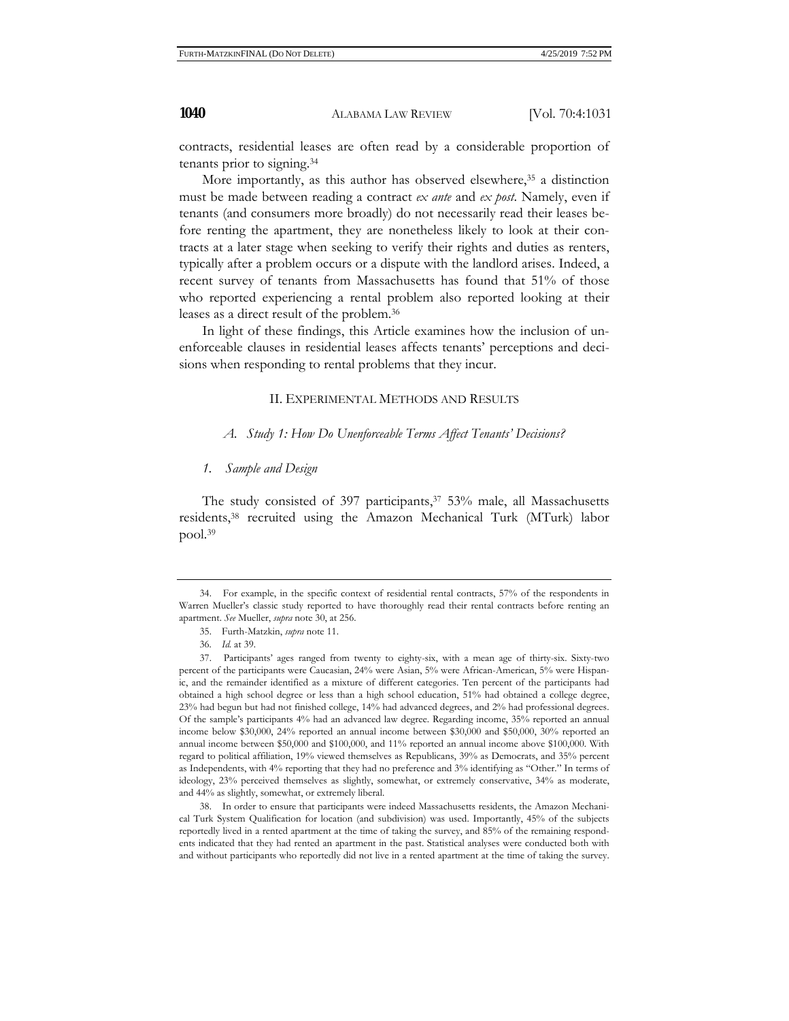contracts, residential leases are often read by a considerable proportion of tenants prior to signing.34

More importantly, as this author has observed elsewhere,<sup>35</sup> a distinction must be made between reading a contract *ex ante* and *ex post*. Namely, even if tenants (and consumers more broadly) do not necessarily read their leases before renting the apartment, they are nonetheless likely to look at their contracts at a later stage when seeking to verify their rights and duties as renters, typically after a problem occurs or a dispute with the landlord arises. Indeed, a recent survey of tenants from Massachusetts has found that 51% of those who reported experiencing a rental problem also reported looking at their leases as a direct result of the problem.36

In light of these findings, this Article examines how the inclusion of unenforceable clauses in residential leases affects tenants' perceptions and decisions when responding to rental problems that they incur.

## II. EXPERIMENTAL METHODS AND RESULTS

*A. Study 1: How Do Unenforceable Terms Affect Tenants' Decisions?* 

#### *1. Sample and Design*

The study consisted of 397 participants, $37\,53\%$  male, all Massachusetts residents,38 recruited using the Amazon Mechanical Turk (MTurk) labor pool.39

<sup>34.</sup> For example, in the specific context of residential rental contracts, 57% of the respondents in Warren Mueller's classic study reported to have thoroughly read their rental contracts before renting an apartment. *See* Mueller, *supra* note 30, at 256.

<sup>35.</sup> Furth-Matzkin, *supra* note 11.

<sup>36.</sup> *Id.* at 39.

<sup>37.</sup> Participants' ages ranged from twenty to eighty-six, with a mean age of thirty-six. Sixty-two percent of the participants were Caucasian, 24% were Asian, 5% were African-American, 5% were Hispanic, and the remainder identified as a mixture of different categories. Ten percent of the participants had obtained a high school degree or less than a high school education, 51% had obtained a college degree, 23% had begun but had not finished college, 14% had advanced degrees, and 2% had professional degrees. Of the sample's participants 4% had an advanced law degree. Regarding income, 35% reported an annual income below \$30,000, 24% reported an annual income between \$30,000 and \$50,000, 30% reported an annual income between \$50,000 and \$100,000, and 11% reported an annual income above \$100,000. With regard to political affiliation, 19% viewed themselves as Republicans, 39% as Democrats, and 35% percent as Independents, with 4% reporting that they had no preference and 3% identifying as "Other." In terms of ideology, 23% perceived themselves as slightly, somewhat, or extremely conservative, 34% as moderate, and 44% as slightly, somewhat, or extremely liberal.

<sup>38.</sup> In order to ensure that participants were indeed Massachusetts residents, the Amazon Mechanical Turk System Qualification for location (and subdivision) was used. Importantly, 45% of the subjects reportedly lived in a rented apartment at the time of taking the survey, and 85% of the remaining respondents indicated that they had rented an apartment in the past. Statistical analyses were conducted both with and without participants who reportedly did not live in a rented apartment at the time of taking the survey.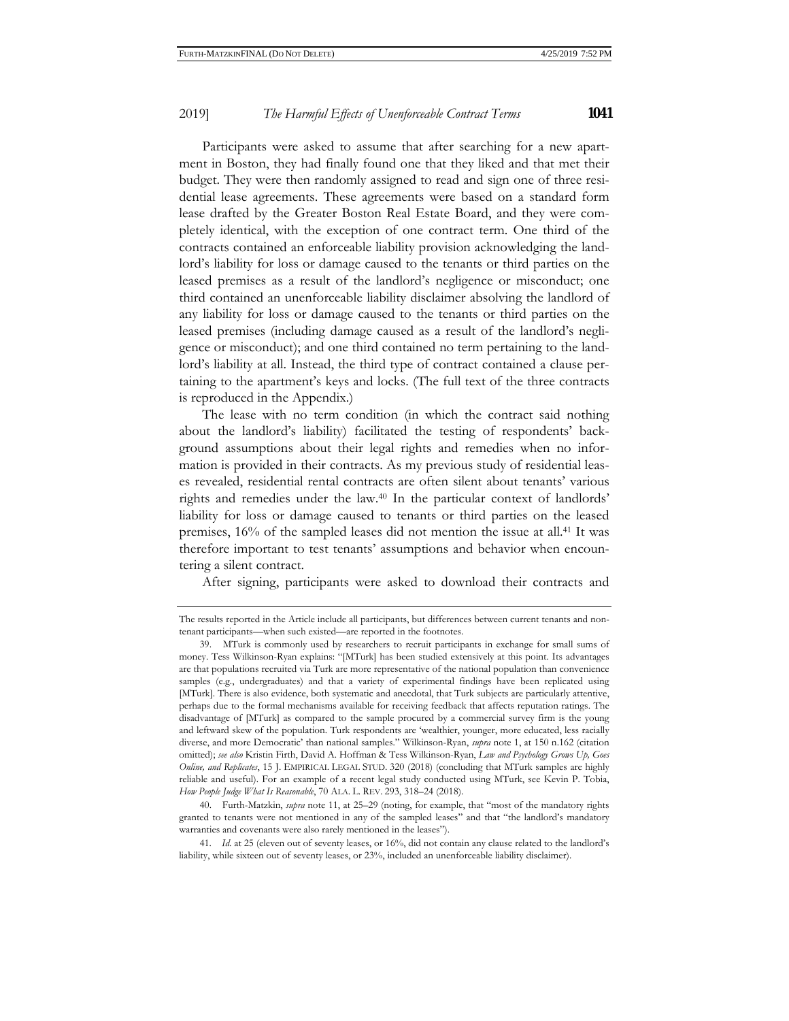Participants were asked to assume that after searching for a new apartment in Boston, they had finally found one that they liked and that met their budget. They were then randomly assigned to read and sign one of three residential lease agreements. These agreements were based on a standard form lease drafted by the Greater Boston Real Estate Board, and they were completely identical, with the exception of one contract term. One third of the contracts contained an enforceable liability provision acknowledging the landlord's liability for loss or damage caused to the tenants or third parties on the leased premises as a result of the landlord's negligence or misconduct; one third contained an unenforceable liability disclaimer absolving the landlord of any liability for loss or damage caused to the tenants or third parties on the leased premises (including damage caused as a result of the landlord's negligence or misconduct); and one third contained no term pertaining to the landlord's liability at all. Instead, the third type of contract contained a clause pertaining to the apartment's keys and locks. (The full text of the three contracts is reproduced in the Appendix.)

The lease with no term condition (in which the contract said nothing about the landlord's liability) facilitated the testing of respondents' background assumptions about their legal rights and remedies when no information is provided in their contracts. As my previous study of residential leases revealed, residential rental contracts are often silent about tenants' various rights and remedies under the law.40 In the particular context of landlords' liability for loss or damage caused to tenants or third parties on the leased premises, 16% of the sampled leases did not mention the issue at all.41 It was therefore important to test tenants' assumptions and behavior when encountering a silent contract.

After signing, participants were asked to download their contracts and

40. Furth-Matzkin, *supra* note 11, at 25–29 (noting, for example, that "most of the mandatory rights granted to tenants were not mentioned in any of the sampled leases" and that "the landlord's mandatory warranties and covenants were also rarely mentioned in the leases").

41. *Id.* at 25 (eleven out of seventy leases, or 16%, did not contain any clause related to the landlord's liability, while sixteen out of seventy leases, or 23%, included an unenforceable liability disclaimer).

The results reported in the Article include all participants, but differences between current tenants and nontenant participants—when such existed—are reported in the footnotes.

<sup>39.</sup> MTurk is commonly used by researchers to recruit participants in exchange for small sums of money. Tess Wilkinson-Ryan explains: "[MTurk] has been studied extensively at this point. Its advantages are that populations recruited via Turk are more representative of the national population than convenience samples (e.g., undergraduates) and that a variety of experimental findings have been replicated using [MTurk]. There is also evidence, both systematic and anecdotal, that Turk subjects are particularly attentive, perhaps due to the formal mechanisms available for receiving feedback that affects reputation ratings. The disadvantage of [MTurk] as compared to the sample procured by a commercial survey firm is the young and leftward skew of the population. Turk respondents are 'wealthier, younger, more educated, less racially diverse, and more Democratic' than national samples." Wilkinson-Ryan, *supra* note 1, at 150 n.162 (citation omitted); *see also* Kristin Firth, David A. Hoffman & Tess Wilkinson-Ryan, *Law and Psychology Grows Up, Goes Online, and Replicates*, 15 J. EMPIRICAL LEGAL STUD. 320 (2018) (concluding that MTurk samples are highly reliable and useful). For an example of a recent legal study conducted using MTurk, see Kevin P. Tobia, *How People Judge What Is Reasonable*, 70 ALA. L. REV. 293, 318–24 (2018).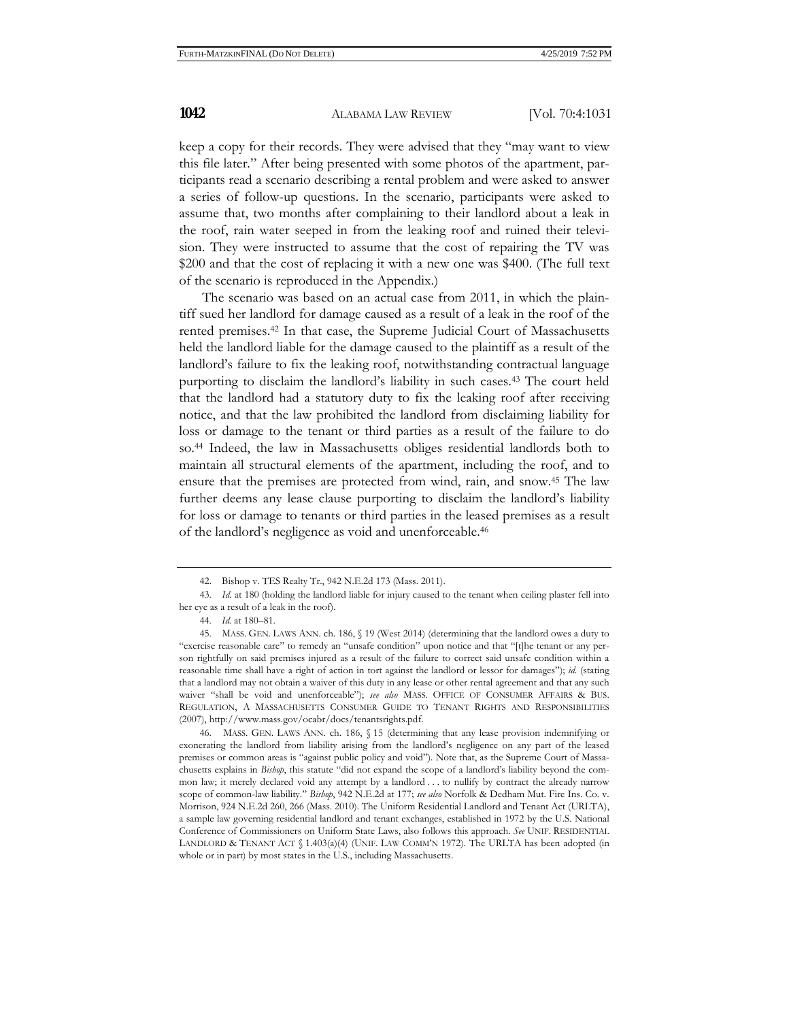keep a copy for their records. They were advised that they "may want to view this file later." After being presented with some photos of the apartment, participants read a scenario describing a rental problem and were asked to answer a series of follow-up questions. In the scenario, participants were asked to assume that, two months after complaining to their landlord about a leak in the roof, rain water seeped in from the leaking roof and ruined their television. They were instructed to assume that the cost of repairing the TV was \$200 and that the cost of replacing it with a new one was \$400. (The full text of the scenario is reproduced in the Appendix.)

The scenario was based on an actual case from 2011, in which the plaintiff sued her landlord for damage caused as a result of a leak in the roof of the rented premises.42 In that case, the Supreme Judicial Court of Massachusetts held the landlord liable for the damage caused to the plaintiff as a result of the landlord's failure to fix the leaking roof, notwithstanding contractual language purporting to disclaim the landlord's liability in such cases.43 The court held that the landlord had a statutory duty to fix the leaking roof after receiving notice, and that the law prohibited the landlord from disclaiming liability for loss or damage to the tenant or third parties as a result of the failure to do so.44 Indeed, the law in Massachusetts obliges residential landlords both to maintain all structural elements of the apartment, including the roof, and to ensure that the premises are protected from wind, rain, and snow.45 The law further deems any lease clause purporting to disclaim the landlord's liability for loss or damage to tenants or third parties in the leased premises as a result of the landlord's negligence as void and unenforceable.46

46. MASS. GEN. LAWS ANN. ch. 186, § 15 (determining that any lease provision indemnifying or exonerating the landlord from liability arising from the landlord's negligence on any part of the leased premises or common areas is "against public policy and void"). Note that, as the Supreme Court of Massachusetts explains in *Bishop*, this statute "did not expand the scope of a landlord's liability beyond the common law; it merely declared void any attempt by a landlord . . . to nullify by contract the already narrow scope of common-law liability." *Bishop*, 942 N.E.2d at 177; *see also* Norfolk & Dedham Mut. Fire Ins. Co. v. Morrison, 924 N.E.2d 260, 266 (Mass. 2010). The Uniform Residential Landlord and Tenant Act (URLTA), a sample law governing residential landlord and tenant exchanges, established in 1972 by the U.S. National Conference of Commissioners on Uniform State Laws, also follows this approach. *See* UNIF. RESIDENTIAL LANDLORD & TENANT ACT § 1.403(a)(4) (UNIF. LAW COMM'N 1972). The URLTA has been adopted (in whole or in part) by most states in the U.S., including Massachusetts.

<sup>42.</sup> Bishop v. TES Realty Tr., 942 N.E.2d 173 (Mass. 2011).

<sup>43.</sup> *Id.* at 180 (holding the landlord liable for injury caused to the tenant when ceiling plaster fell into her eye as a result of a leak in the roof).

<sup>44.</sup> *Id.* at 180–81.

<sup>45.</sup> MASS. GEN. LAWS ANN. ch. 186, § 19 (West 2014) (determining that the landlord owes a duty to "exercise reasonable care" to remedy an "unsafe condition" upon notice and that "[t]he tenant or any person rightfully on said premises injured as a result of the failure to correct said unsafe condition within a reasonable time shall have a right of action in tort against the landlord or lessor for damages"); *id.* (stating that a landlord may not obtain a waiver of this duty in any lease or other rental agreement and that any such waiver "shall be void and unenforceable"); *see also* MASS. OFFICE OF CONSUMER AFFAIRS & BUS. REGULATION, A MASSACHUSETTS CONSUMER GUIDE TO TENANT RIGHTS AND RESPONSIBILITIES (2007), http://www.mass.gov/ocabr/docs/tenantsrights.pdf.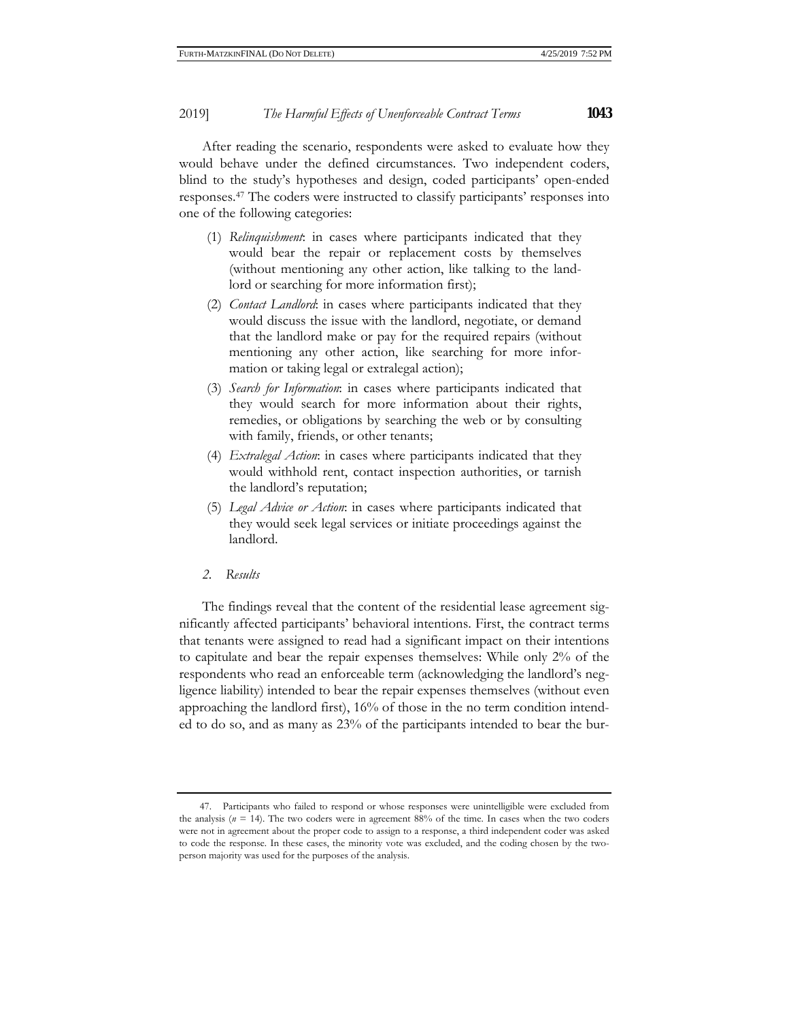After reading the scenario, respondents were asked to evaluate how they would behave under the defined circumstances. Two independent coders, blind to the study's hypotheses and design, coded participants' open-ended responses.47 The coders were instructed to classify participants' responses into one of the following categories:

- (1) *Relinquishment*: in cases where participants indicated that they would bear the repair or replacement costs by themselves (without mentioning any other action, like talking to the landlord or searching for more information first);
- (2) *Contact Landlord*: in cases where participants indicated that they would discuss the issue with the landlord, negotiate, or demand that the landlord make or pay for the required repairs (without mentioning any other action, like searching for more information or taking legal or extralegal action);
- (3) *Search for Information*: in cases where participants indicated that they would search for more information about their rights, remedies, or obligations by searching the web or by consulting with family, friends, or other tenants;
- (4) *Extralegal Action*: in cases where participants indicated that they would withhold rent, contact inspection authorities, or tarnish the landlord's reputation;
- (5) *Legal Advice or Action*: in cases where participants indicated that they would seek legal services or initiate proceedings against the landlord.
- *2. Results*

The findings reveal that the content of the residential lease agreement significantly affected participants' behavioral intentions. First, the contract terms that tenants were assigned to read had a significant impact on their intentions to capitulate and bear the repair expenses themselves: While only 2% of the respondents who read an enforceable term (acknowledging the landlord's negligence liability) intended to bear the repair expenses themselves (without even approaching the landlord first), 16% of those in the no term condition intended to do so, and as many as 23% of the participants intended to bear the bur-

<sup>47.</sup> Participants who failed to respond or whose responses were unintelligible were excluded from the analysis  $(n = 14)$ . The two coders were in agreement 88% of the time. In cases when the two coders were not in agreement about the proper code to assign to a response, a third independent coder was asked to code the response. In these cases, the minority vote was excluded, and the coding chosen by the twoperson majority was used for the purposes of the analysis.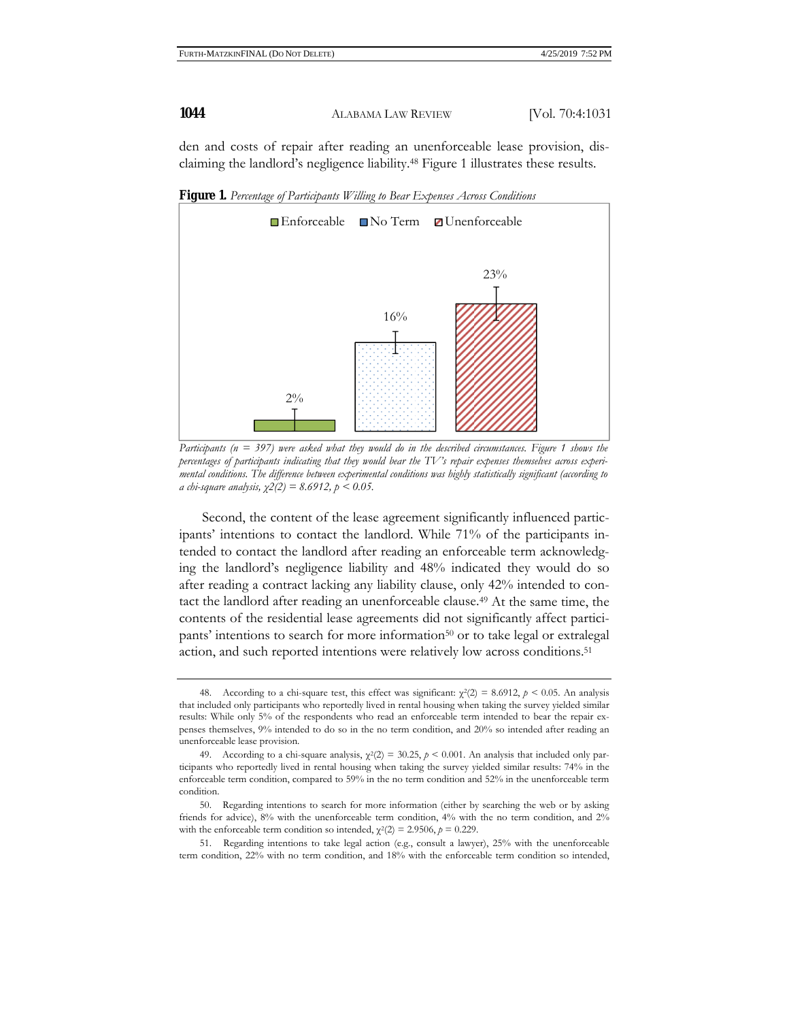den and costs of repair after reading an unenforceable lease provision, disclaiming the landlord's negligence liability.48 Figure 1 illustrates these results.



**Figure 1.** *Percentage of Participants Willing to Bear Expenses Across Conditions* 

*Participants (n = 397) were asked what they would do in the described circumstances. Figure 1 shows the percentages of participants indicating that they would bear the TV's repair expenses themselves across experimental conditions. The difference between experimental conditions was highly statistically significant (according to a chi-square analysis, χ2(2) = 8.6912, p < 0.05.*

Second, the content of the lease agreement significantly influenced participants' intentions to contact the landlord. While 71% of the participants intended to contact the landlord after reading an enforceable term acknowledging the landlord's negligence liability and 48% indicated they would do so after reading a contract lacking any liability clause, only 42% intended to contact the landlord after reading an unenforceable clause.49 At the same time, the contents of the residential lease agreements did not significantly affect participants' intentions to search for more information<sup>50</sup> or to take legal or extralegal action, and such reported intentions were relatively low across conditions.51

<sup>48.</sup> According to a chi-square test, this effect was significant:  $χ²(2) = 8.6912, p < 0.05$ . An analysis that included only participants who reportedly lived in rental housing when taking the survey yielded similar results: While only 5% of the respondents who read an enforceable term intended to bear the repair expenses themselves, 9% intended to do so in the no term condition, and 20% so intended after reading an unenforceable lease provision.

<sup>49.</sup> According to a chi-square analysis,  $\chi^2(2) = 30.25$ ,  $\rho \le 0.001$ . An analysis that included only participants who reportedly lived in rental housing when taking the survey yielded similar results: 74% in the enforceable term condition, compared to 59% in the no term condition and 52% in the unenforceable term condition.

<sup>50.</sup> Regarding intentions to search for more information (either by searching the web or by asking friends for advice), 8% with the unenforceable term condition, 4% with the no term condition, and 2% with the enforceable term condition so intended,  $\chi^2(2) = 2.9506$ ,  $p = 0.229$ .

<sup>51.</sup> Regarding intentions to take legal action (e.g., consult a lawyer), 25% with the unenforceable term condition, 22% with no term condition, and 18% with the enforceable term condition so intended,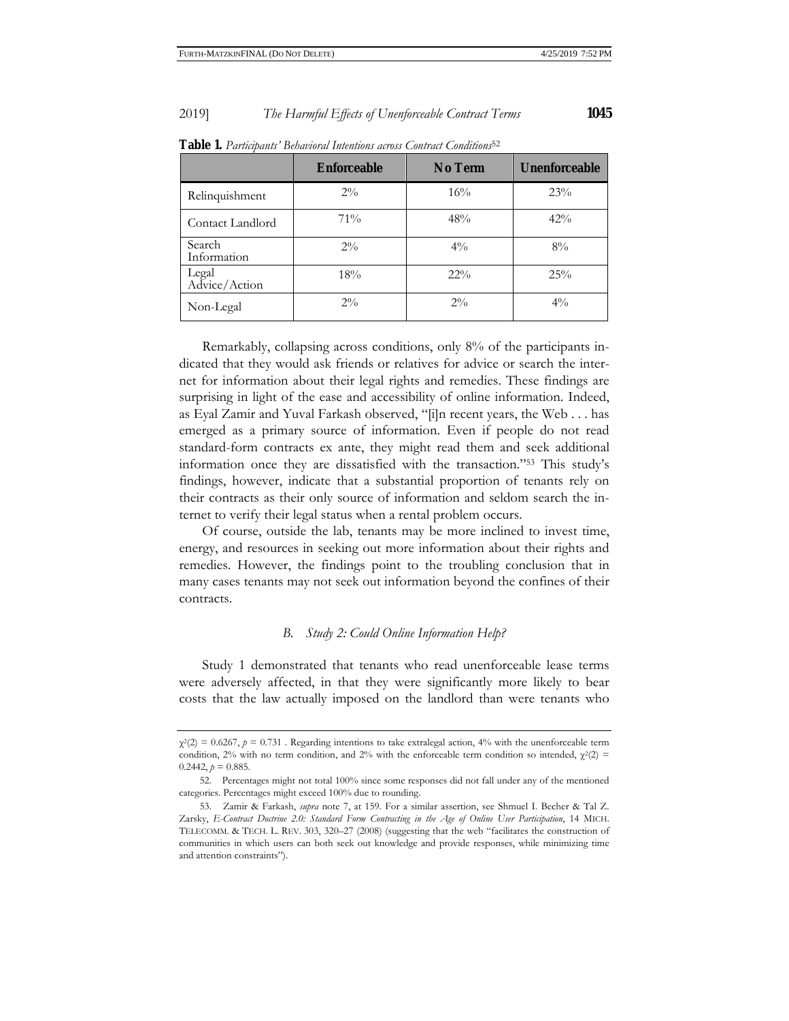| 1045 |  |
|------|--|
|      |  |

|                        | Enforceable | No Term | <b>Unenforceable</b> |
|------------------------|-------------|---------|----------------------|
| Relinquishment         | $2\%$       | 16%     | 23%                  |
| Contact Landlord       | 71%         | 48%     | 42%                  |
| Search<br>Information  | $2\%$       | $4\%$   | $8\%$                |
| Legal<br>Advice/Action | 18%         | $22\%$  | 25%                  |
| Non-Legal              | $2\%$       | $2\%$   | $4\%$                |

**Table 1.** *Participants' Behavioral Intentions across Contract Conditions*<sup>52</sup>

Remarkably, collapsing across conditions, only 8% of the participants indicated that they would ask friends or relatives for advice or search the internet for information about their legal rights and remedies. These findings are surprising in light of the ease and accessibility of online information. Indeed, as Eyal Zamir and Yuval Farkash observed, "[i]n recent years, the Web . . . has emerged as a primary source of information. Even if people do not read standard-form contracts ex ante, they might read them and seek additional information once they are dissatisfied with the transaction."53 This study's findings, however, indicate that a substantial proportion of tenants rely on their contracts as their only source of information and seldom search the internet to verify their legal status when a rental problem occurs.

Of course, outside the lab, tenants may be more inclined to invest time, energy, and resources in seeking out more information about their rights and remedies. However, the findings point to the troubling conclusion that in many cases tenants may not seek out information beyond the confines of their contracts.

## *B. Study 2: Could Online Information Help?*

Study 1 demonstrated that tenants who read unenforceable lease terms were adversely affected, in that they were significantly more likely to bear costs that the law actually imposed on the landlord than were tenants who

 $\chi^2(2) = 0.6267$ ,  $p = 0.731$ . Regarding intentions to take extralegal action, 4% with the unenforceable term condition, 2% with no term condition, and 2% with the enforceable term condition so intended,  $\chi^2(2)$  =  $0.2442$ ,  $p = 0.885$ .

<sup>52.</sup> Percentages might not total 100% since some responses did not fall under any of the mentioned categories. Percentages might exceed 100% due to rounding.

<sup>53.</sup> Zamir & Farkash, *supra* note 7, at 159. For a similar assertion, see Shmuel I. Becher & Tal Z. Zarsky, *E-Contract Doctrine 2.0: Standard Form Contracting in the Age of Online User Participation*, 14 MICH. TELECOMM. & TECH. L. REV. 303, 320–27 (2008) (suggesting that the web "facilitates the construction of communities in which users can both seek out knowledge and provide responses, while minimizing time and attention constraints").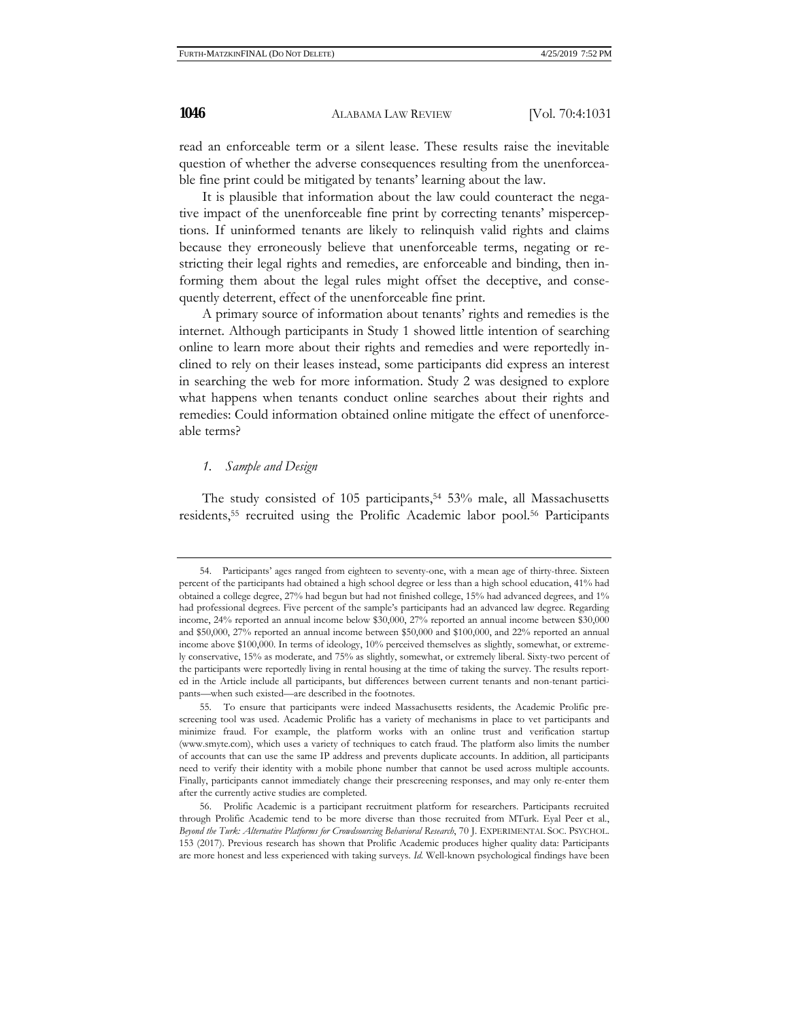read an enforceable term or a silent lease. These results raise the inevitable question of whether the adverse consequences resulting from the unenforceable fine print could be mitigated by tenants' learning about the law.

It is plausible that information about the law could counteract the negative impact of the unenforceable fine print by correcting tenants' misperceptions. If uninformed tenants are likely to relinquish valid rights and claims because they erroneously believe that unenforceable terms, negating or restricting their legal rights and remedies, are enforceable and binding, then informing them about the legal rules might offset the deceptive, and consequently deterrent, effect of the unenforceable fine print.

A primary source of information about tenants' rights and remedies is the internet. Although participants in Study 1 showed little intention of searching online to learn more about their rights and remedies and were reportedly inclined to rely on their leases instead, some participants did express an interest in searching the web for more information. Study 2 was designed to explore what happens when tenants conduct online searches about their rights and remedies: Could information obtained online mitigate the effect of unenforceable terms?

#### *1. Sample and Design*

The study consisted of 105 participants,  $54\,53\%$  male, all Massachusetts residents,55 recruited using the Prolific Academic labor pool.56 Participants

<sup>54.</sup> Participants' ages ranged from eighteen to seventy-one, with a mean age of thirty-three. Sixteen percent of the participants had obtained a high school degree or less than a high school education, 41% had obtained a college degree, 27% had begun but had not finished college, 15% had advanced degrees, and 1% had professional degrees. Five percent of the sample's participants had an advanced law degree. Regarding income, 24% reported an annual income below \$30,000, 27% reported an annual income between \$30,000 and \$50,000, 27% reported an annual income between \$50,000 and \$100,000, and 22% reported an annual income above \$100,000. In terms of ideology, 10% perceived themselves as slightly, somewhat, or extremely conservative, 15% as moderate, and 75% as slightly, somewhat, or extremely liberal. Sixty-two percent of the participants were reportedly living in rental housing at the time of taking the survey. The results reported in the Article include all participants, but differences between current tenants and non-tenant participants—when such existed—are described in the footnotes.

<sup>55.</sup> To ensure that participants were indeed Massachusetts residents, the Academic Prolific prescreening tool was used. Academic Prolific has a variety of mechanisms in place to vet participants and minimize fraud. For example, the platform works with an online trust and verification startup (www.smyte.com), which uses a variety of techniques to catch fraud. The platform also limits the number of accounts that can use the same IP address and prevents duplicate accounts. In addition, all participants need to verify their identity with a mobile phone number that cannot be used across multiple accounts. Finally, participants cannot immediately change their prescreening responses, and may only re-enter them after the currently active studies are completed.

<sup>56.</sup> Prolific Academic is a participant recruitment platform for researchers. Participants recruited through Prolific Academic tend to be more diverse than those recruited from MTurk. Eyal Peer et al., *Beyond the Turk: Alternative Platforms for Crowdsourcing Behavioral Research*, 70 J. EXPERIMENTAL SOC. PSYCHOL. 153 (2017). Previous research has shown that Prolific Academic produces higher quality data: Participants are more honest and less experienced with taking surveys. *Id.* Well-known psychological findings have been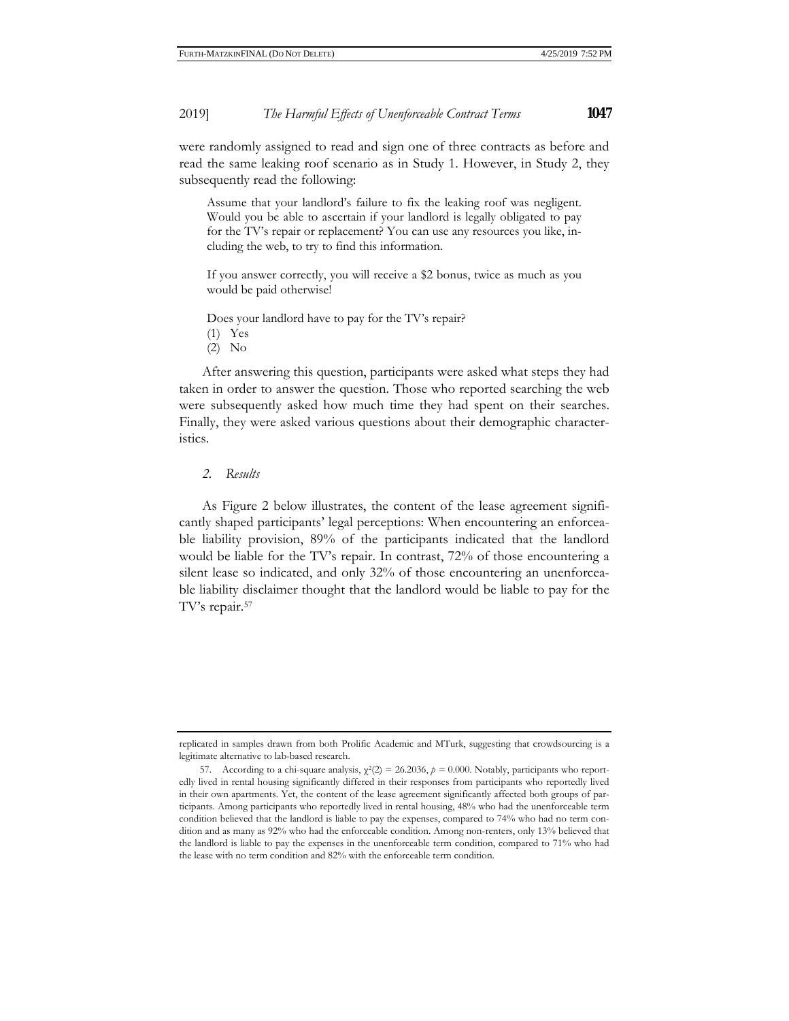were randomly assigned to read and sign one of three contracts as before and read the same leaking roof scenario as in Study 1. However, in Study 2, they subsequently read the following:

Assume that your landlord's failure to fix the leaking roof was negligent. Would you be able to ascertain if your landlord is legally obligated to pay for the TV's repair or replacement? You can use any resources you like, including the web, to try to find this information.

If you answer correctly, you will receive a \$2 bonus, twice as much as you would be paid otherwise!

Does your landlord have to pay for the TV's repair?

(1) Yes

(2) No

After answering this question, participants were asked what steps they had taken in order to answer the question. Those who reported searching the web were subsequently asked how much time they had spent on their searches. Finally, they were asked various questions about their demographic characteristics.

## *2. Results*

As Figure 2 below illustrates, the content of the lease agreement significantly shaped participants' legal perceptions: When encountering an enforceable liability provision, 89% of the participants indicated that the landlord would be liable for the TV's repair. In contrast, 72% of those encountering a silent lease so indicated, and only 32% of those encountering an unenforceable liability disclaimer thought that the landlord would be liable to pay for the TV's repair.57

replicated in samples drawn from both Prolific Academic and MTurk, suggesting that crowdsourcing is a legitimate alternative to lab-based research.

<sup>57.</sup> According to a chi-square analysis,  $\chi^2(2) = 26.2036$ ,  $p = 0.000$ . Notably, participants who reportedly lived in rental housing significantly differed in their responses from participants who reportedly lived in their own apartments. Yet, the content of the lease agreement significantly affected both groups of participants. Among participants who reportedly lived in rental housing, 48% who had the unenforceable term condition believed that the landlord is liable to pay the expenses, compared to 74% who had no term condition and as many as 92% who had the enforceable condition. Among non-renters, only 13% believed that the landlord is liable to pay the expenses in the unenforceable term condition, compared to 71% who had the lease with no term condition and 82% with the enforceable term condition.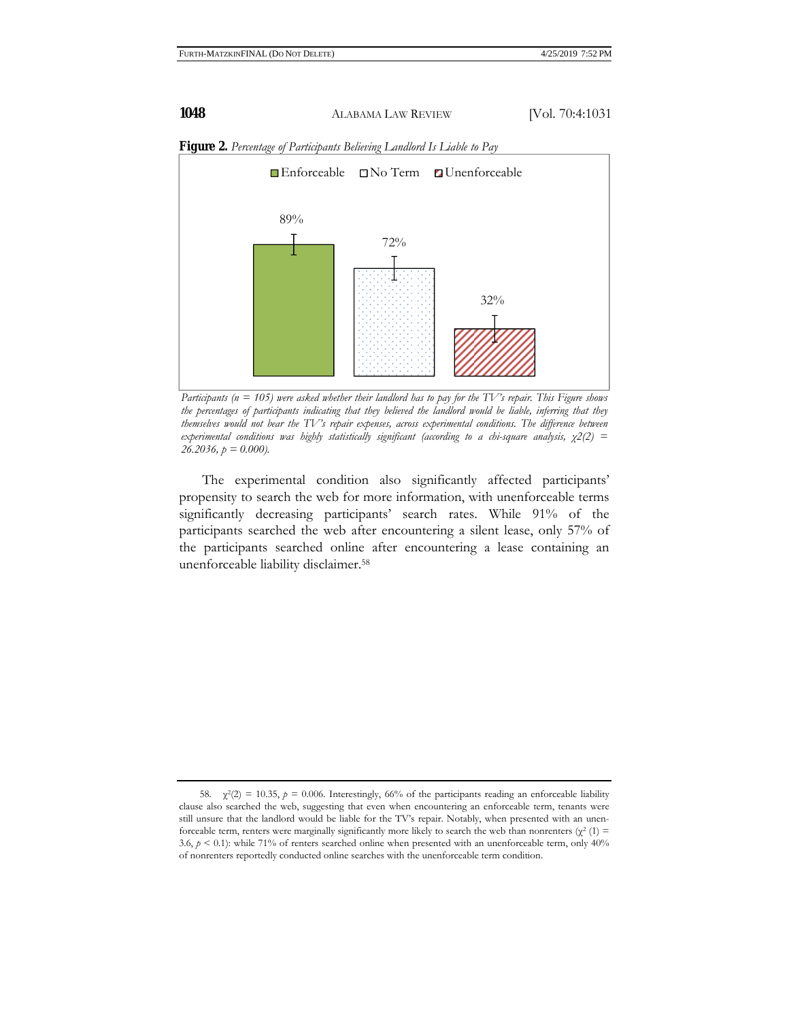

**Figure 2.** *Percentage of Participants Believing Landlord Is Liable to Pay* 

*Participants (n = 105) were asked whether their landlord has to pay for the TV's repair. This Figure shows the percentages of participants indicating that they believed the landlord would be liable, inferring that they themselves would not bear the TV's repair expenses, across experimental conditions. The difference between experimental conditions was highly statistically significant (according to a chi-square analysis, χ2(2) = 26.2036, p = 0.000).* 

The experimental condition also significantly affected participants' propensity to search the web for more information, with unenforceable terms significantly decreasing participants' search rates. While 91% of the participants searched the web after encountering a silent lease, only 57% of the participants searched online after encountering a lease containing an unenforceable liability disclaimer.58

<sup>58.</sup>  $\chi^2(2) = 10.35$ ,  $p = 0.006$ . Interestingly, 66% of the participants reading an enforceable liability clause also searched the web, suggesting that even when encountering an enforceable term, tenants were still unsure that the landlord would be liable for the TV's repair. Notably, when presented with an unenforceable term, renters were marginally significantly more likely to search the web than nonrenters ( $\chi^2$  (1) = 3.6,  $p < 0.1$ ): while 71% of renters searched online when presented with an unenforceable term, only 40% of nonrenters reportedly conducted online searches with the unenforceable term condition.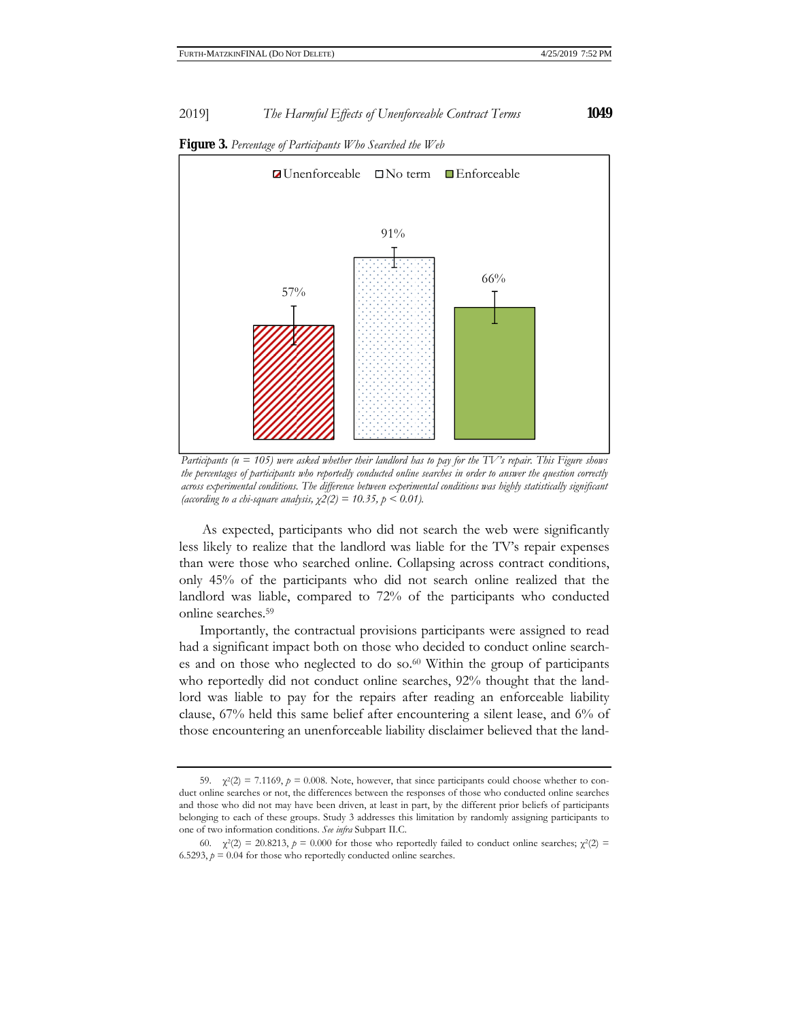

**Figure 3.** *Percentage of Participants Who Searched the Web* 

*Participants (n = 105) were asked whether their landlord has to pay for the TV's repair. This Figure shows the percentages of participants who reportedly conducted online searches in order to answer the question correctly across experimental conditions. The difference between experimental conditions was highly statistically significant (according to a chi-square analysis, χ2(2) = 10.35, p < 0.01).* 

As expected, participants who did not search the web were significantly less likely to realize that the landlord was liable for the TV's repair expenses than were those who searched online. Collapsing across contract conditions, only 45% of the participants who did not search online realized that the landlord was liable, compared to 72% of the participants who conducted online searches.59

 Importantly, the contractual provisions participants were assigned to read had a significant impact both on those who decided to conduct online searches and on those who neglected to do so.60 Within the group of participants who reportedly did not conduct online searches, 92% thought that the landlord was liable to pay for the repairs after reading an enforceable liability clause, 67% held this same belief after encountering a silent lease, and 6% of those encountering an unenforceable liability disclaimer believed that the land-

<sup>59.</sup>  $\chi^2(2) = 7.1169$ ,  $p = 0.008$ . Note, however, that since participants could choose whether to conduct online searches or not, the differences between the responses of those who conducted online searches and those who did not may have been driven, at least in part, by the different prior beliefs of participants belonging to each of these groups. Study 3 addresses this limitation by randomly assigning participants to one of two information conditions. *See infra* Subpart II.C.

<sup>60.</sup>  $\chi^2(2) = 20.8213$ ,  $p = 0.000$  for those who reportedly failed to conduct online searches;  $\chi^2(2) =$ 6.5293,  $p = 0.04$  for those who reportedly conducted online searches.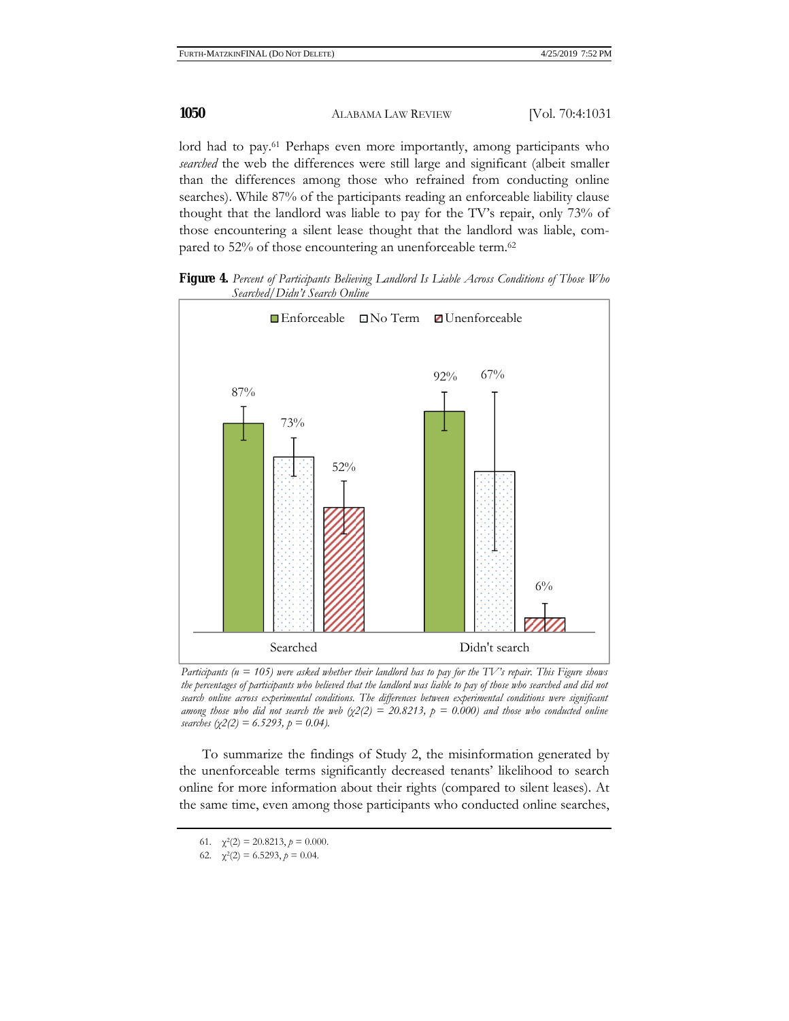lord had to pay.<sup>61</sup> Perhaps even more importantly, among participants who *searched* the web the differences were still large and significant (albeit smaller than the differences among those who refrained from conducting online searches). While 87% of the participants reading an enforceable liability clause thought that the landlord was liable to pay for the TV's repair, only 73% of those encountering a silent lease thought that the landlord was liable, compared to 52% of those encountering an unenforceable term.<sup>62</sup>





*Participants (n = 105) were asked whether their landlord has to pay for the TV's repair. This Figure shows the percentages of participants who believed that the landlord was liable to pay of those who searched and did not search online across experimental conditions. The differences between experimental conditions were significant among those who did not search the web*  $(\chi^2)(2) = 20.8213$ ,  $p = 0.000$  and those who conducted online *searches* ( $\chi$ 2(2) = 6.5293,  $p = 0.04$ ).

To summarize the findings of Study 2, the misinformation generated by the unenforceable terms significantly decreased tenants' likelihood to search online for more information about their rights (compared to silent leases). At the same time, even among those participants who conducted online searches,

<sup>61.</sup>  $\chi^2(2) = 20.8213$ ,  $p = 0.000$ .

<sup>62.</sup>  $\chi^2(2) = 6.5293$ ,  $p = 0.04$ .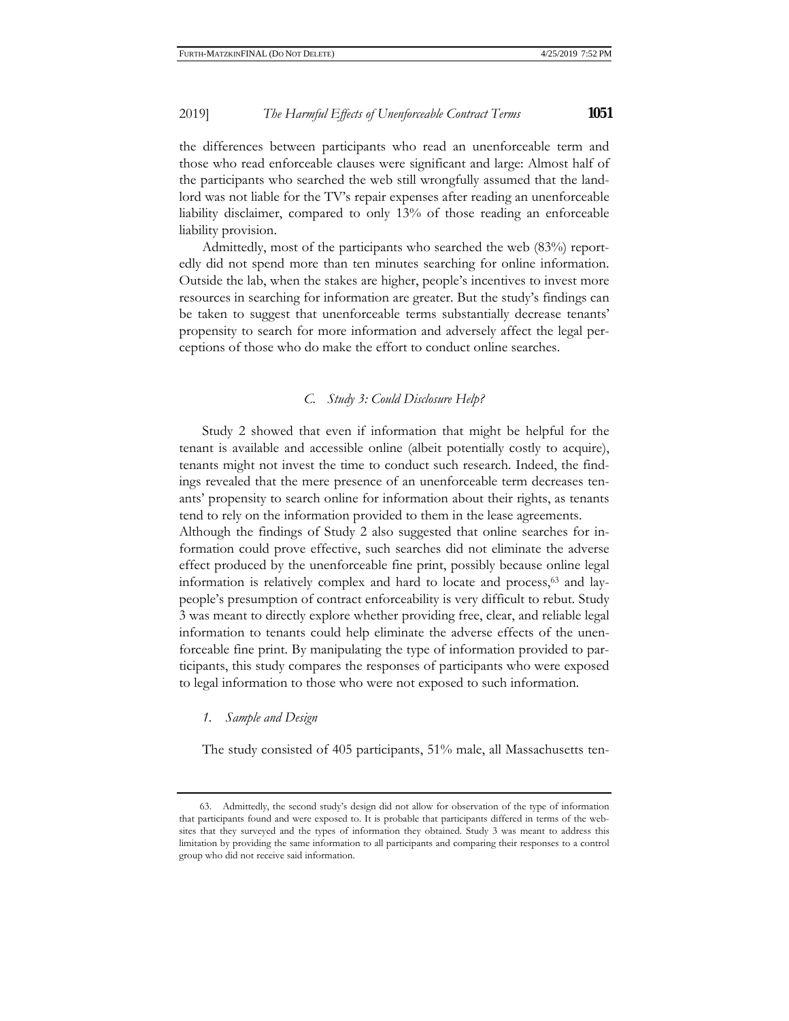the differences between participants who read an unenforceable term and those who read enforceable clauses were significant and large: Almost half of the participants who searched the web still wrongfully assumed that the landlord was not liable for the TV's repair expenses after reading an unenforceable liability disclaimer, compared to only 13% of those reading an enforceable liability provision.

Admittedly, most of the participants who searched the web (83%) reportedly did not spend more than ten minutes searching for online information. Outside the lab, when the stakes are higher, people's incentives to invest more resources in searching for information are greater. But the study's findings can be taken to suggest that unenforceable terms substantially decrease tenants' propensity to search for more information and adversely affect the legal perceptions of those who do make the effort to conduct online searches.

## *C. Study 3: Could Disclosure Help?*

Study 2 showed that even if information that might be helpful for the tenant is available and accessible online (albeit potentially costly to acquire), tenants might not invest the time to conduct such research. Indeed, the findings revealed that the mere presence of an unenforceable term decreases tenants' propensity to search online for information about their rights, as tenants tend to rely on the information provided to them in the lease agreements. Although the findings of Study 2 also suggested that online searches for information could prove effective, such searches did not eliminate the adverse

effect produced by the unenforceable fine print, possibly because online legal information is relatively complex and hard to locate and process,63 and laypeople's presumption of contract enforceability is very difficult to rebut. Study 3 was meant to directly explore whether providing free, clear, and reliable legal information to tenants could help eliminate the adverse effects of the unenforceable fine print. By manipulating the type of information provided to participants, this study compares the responses of participants who were exposed to legal information to those who were not exposed to such information.

## *1. Sample and Design*

The study consisted of 405 participants, 51% male, all Massachusetts ten-

<sup>63.</sup> Admittedly, the second study's design did not allow for observation of the type of information that participants found and were exposed to. It is probable that participants differed in terms of the websites that they surveyed and the types of information they obtained. Study 3 was meant to address this limitation by providing the same information to all participants and comparing their responses to a control group who did not receive said information.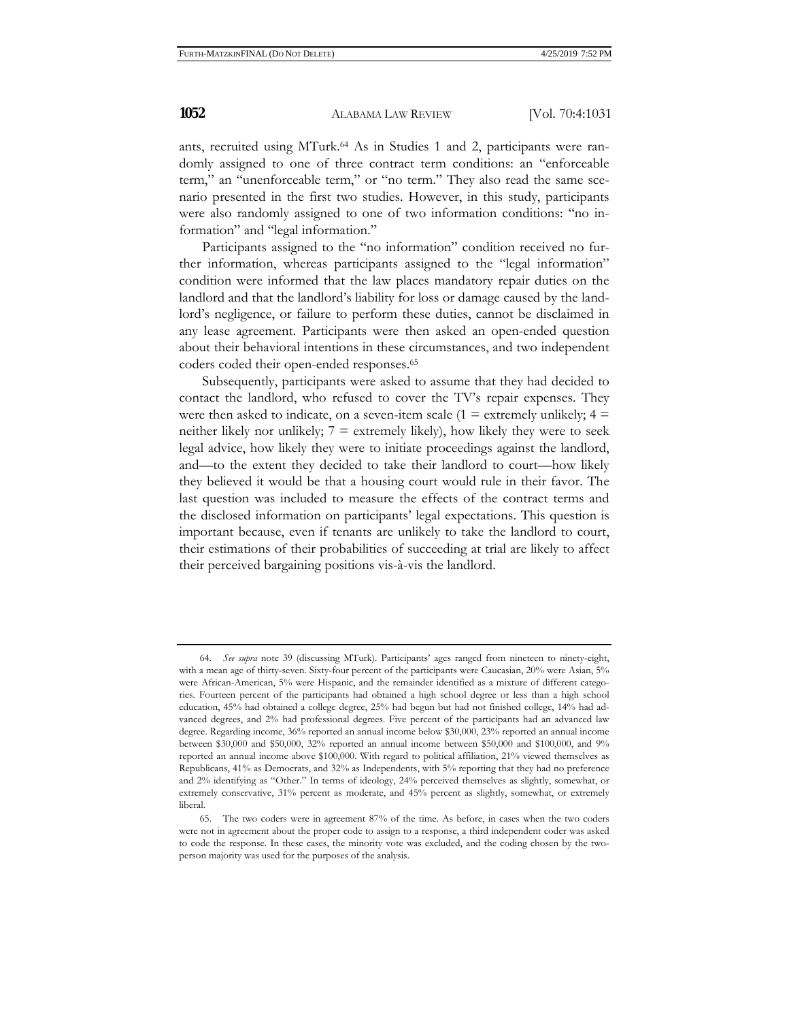ants, recruited using MTurk.<sup>64</sup> As in Studies 1 and 2, participants were randomly assigned to one of three contract term conditions: an "enforceable term," an "unenforceable term," or "no term." They also read the same scenario presented in the first two studies. However, in this study, participants were also randomly assigned to one of two information conditions: "no information" and "legal information."

Participants assigned to the "no information" condition received no further information, whereas participants assigned to the "legal information" condition were informed that the law places mandatory repair duties on the landlord and that the landlord's liability for loss or damage caused by the landlord's negligence, or failure to perform these duties, cannot be disclaimed in any lease agreement. Participants were then asked an open-ended question about their behavioral intentions in these circumstances, and two independent coders coded their open-ended responses.65

Subsequently, participants were asked to assume that they had decided to contact the landlord, who refused to cover the TV's repair expenses. They were then asked to indicate, on a seven-item scale (1 = extremely unlikely;  $4 =$ neither likely nor unlikely;  $7 =$  extremely likely), how likely they were to seek legal advice, how likely they were to initiate proceedings against the landlord, and—to the extent they decided to take their landlord to court—how likely they believed it would be that a housing court would rule in their favor. The last question was included to measure the effects of the contract terms and the disclosed information on participants' legal expectations. This question is important because, even if tenants are unlikely to take the landlord to court, their estimations of their probabilities of succeeding at trial are likely to affect their perceived bargaining positions vis-à-vis the landlord.

<sup>64.</sup> *See supra* note 39 (discussing MTurk). Participants' ages ranged from nineteen to ninety-eight, with a mean age of thirty-seven. Sixty-four percent of the participants were Caucasian, 20% were Asian, 5% were African-American, 5% were Hispanic, and the remainder identified as a mixture of different categories. Fourteen percent of the participants had obtained a high school degree or less than a high school education, 45% had obtained a college degree, 25% had begun but had not finished college, 14% had advanced degrees, and 2% had professional degrees. Five percent of the participants had an advanced law degree. Regarding income, 36% reported an annual income below \$30,000, 23% reported an annual income between \$30,000 and \$50,000, 32% reported an annual income between \$50,000 and \$100,000, and 9% reported an annual income above \$100,000. With regard to political affiliation, 21% viewed themselves as Republicans, 41% as Democrats, and 32% as Independents, with 5% reporting that they had no preference and 2% identifying as "Other." In terms of ideology, 24% perceived themselves as slightly, somewhat, or extremely conservative, 31% percent as moderate, and 45% percent as slightly, somewhat, or extremely liberal.

<sup>65.</sup> The two coders were in agreement 87% of the time. As before, in cases when the two coders were not in agreement about the proper code to assign to a response, a third independent coder was asked to code the response. In these cases, the minority vote was excluded, and the coding chosen by the twoperson majority was used for the purposes of the analysis.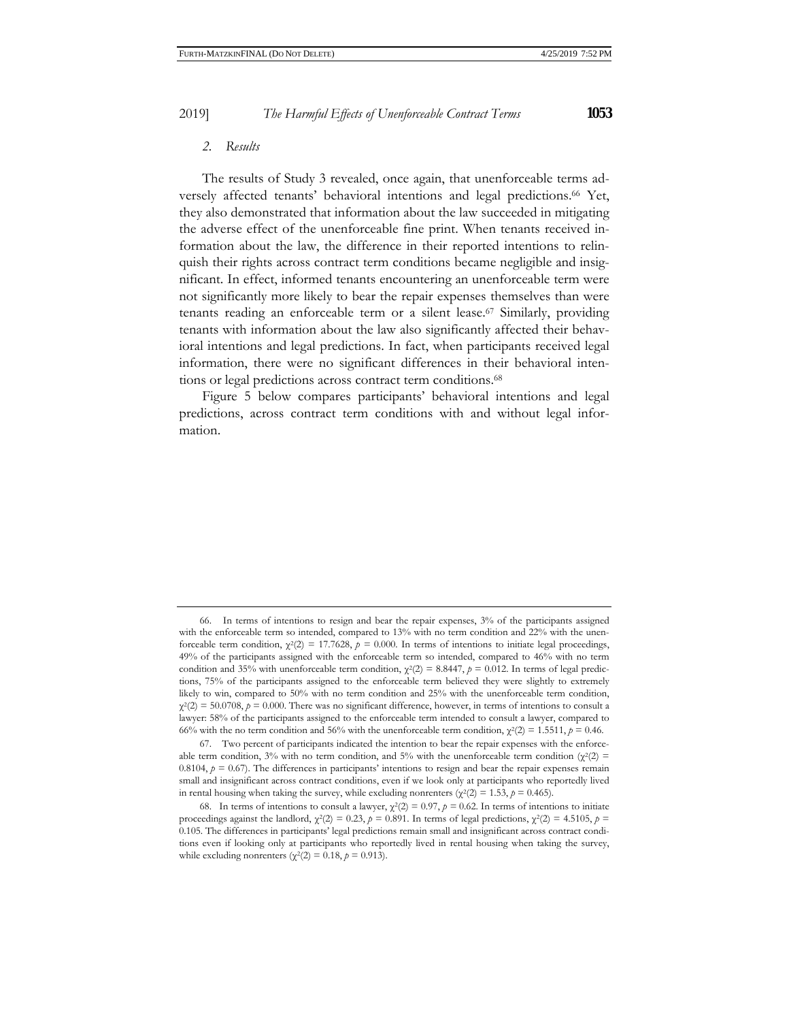#### *2. Results*

The results of Study 3 revealed, once again, that unenforceable terms adversely affected tenants' behavioral intentions and legal predictions.<sup>66</sup> Yet, they also demonstrated that information about the law succeeded in mitigating the adverse effect of the unenforceable fine print. When tenants received information about the law, the difference in their reported intentions to relinquish their rights across contract term conditions became negligible and insignificant. In effect, informed tenants encountering an unenforceable term were not significantly more likely to bear the repair expenses themselves than were tenants reading an enforceable term or a silent lease.67 Similarly, providing tenants with information about the law also significantly affected their behavioral intentions and legal predictions. In fact, when participants received legal information, there were no significant differences in their behavioral intentions or legal predictions across contract term conditions.68

Figure 5 below compares participants' behavioral intentions and legal predictions, across contract term conditions with and without legal information.

<sup>66.</sup> In terms of intentions to resign and bear the repair expenses, 3% of the participants assigned with the enforceable term so intended, compared to 13% with no term condition and 22% with the unenforceable term condition,  $\chi^2(2) = 17.7628$ ,  $p = 0.000$ . In terms of intentions to initiate legal proceedings, 49% of the participants assigned with the enforceable term so intended, compared to 46% with no term condition and 35% with unenforceable term condition,  $\chi^2(2) = 8.8447$ ,  $p = 0.012$ . In terms of legal predictions, 75% of the participants assigned to the enforceable term believed they were slightly to extremely likely to win, compared to 50% with no term condition and 25% with the unenforceable term condition,  $\chi^2(2) = 50.0708$ ,  $p = 0.000$ . There was no significant difference, however, in terms of intentions to consult a lawyer: 58% of the participants assigned to the enforceable term intended to consult a lawyer, compared to 66% with the no term condition and 56% with the unenforceable term condition,  $\chi^2(2) = 1.5511$ ,  $p = 0.46$ .

<sup>67.</sup> Two percent of participants indicated the intention to bear the repair expenses with the enforceable term condition, 3% with no term condition, and 5% with the unenforceable term condition ( $\chi^2(2)$  = 0.8104,  $p = 0.67$ ). The differences in participants' intentions to resign and bear the repair expenses remain small and insignificant across contract conditions, even if we look only at participants who reportedly lived in rental housing when taking the survey, while excluding nonrenters ( $\chi^2(2) = 1.53$ ,  $p = 0.465$ ).

<sup>68.</sup> In terms of intentions to consult a lawyer,  $\chi^2(2) = 0.97$ ,  $p = 0.62$ . In terms of intentions to initiate proceedings against the landlord,  $\chi^2(2) = 0.23$ ,  $p = 0.891$ . In terms of legal predictions,  $\chi^2(2) = 4.5105$ ,  $p =$ 0.105. The differences in participants' legal predictions remain small and insignificant across contract conditions even if looking only at participants who reportedly lived in rental housing when taking the survey, while excluding nonrenters ( $\chi^2(2) = 0.18$ ,  $p = 0.913$ ).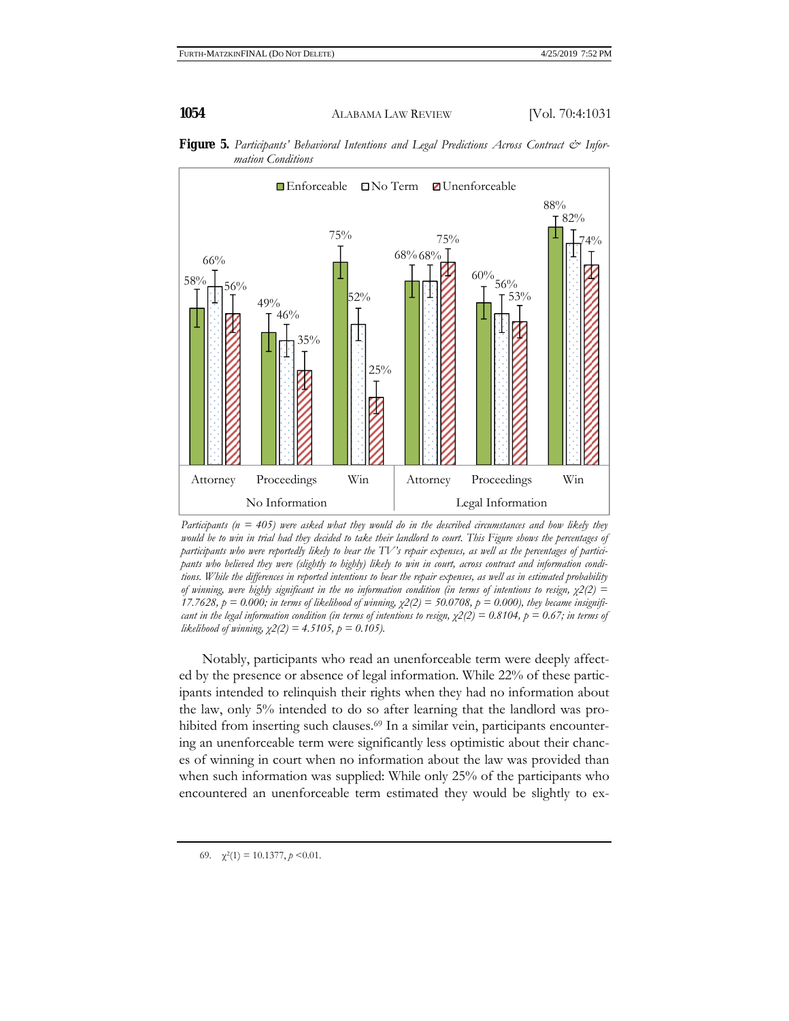

**Figure 5.** Participants' Behavioral Intentions and Legal Predictions Across Contract & Infor*mation Conditions*

*Participants (n = 405) were asked what they would do in the described circumstances and how likely they would be to win in trial had they decided to take their landlord to court. This Figure shows the percentages of participants who were reportedly likely to bear the TV's repair expenses, as well as the percentages of participants who believed they were (slightly to highly) likely to win in court, across contract and information conditions. While the differences in reported intentions to bear the repair expenses, as well as in estimated probability of winning, were highly significant in the no information condition (in terms of intentions to resign, χ2(2) = 17.7628,*  $p = 0.000$ ; in terms of likelihood of winning,  $\chi$ 2(2) = 50.0708,  $p = 0.000$ ), they became insignifi*cant in the legal information condition (in terms of intentions to resign,*  $\chi^2(2) = 0.8104$ *,*  $p = 0.67$ *; in terms of likelihood of winning, χ2(2) = 4.5105, p = 0.105).* 

Notably, participants who read an unenforceable term were deeply affected by the presence or absence of legal information. While 22% of these participants intended to relinquish their rights when they had no information about the law, only 5% intended to do so after learning that the landlord was prohibited from inserting such clauses.<sup>69</sup> In a similar vein, participants encountering an unenforceable term were significantly less optimistic about their chances of winning in court when no information about the law was provided than when such information was supplied: While only 25% of the participants who encountered an unenforceable term estimated they would be slightly to ex-

69.  $\chi^2(1) = 10.1377$ ,  $p \le 0.01$ .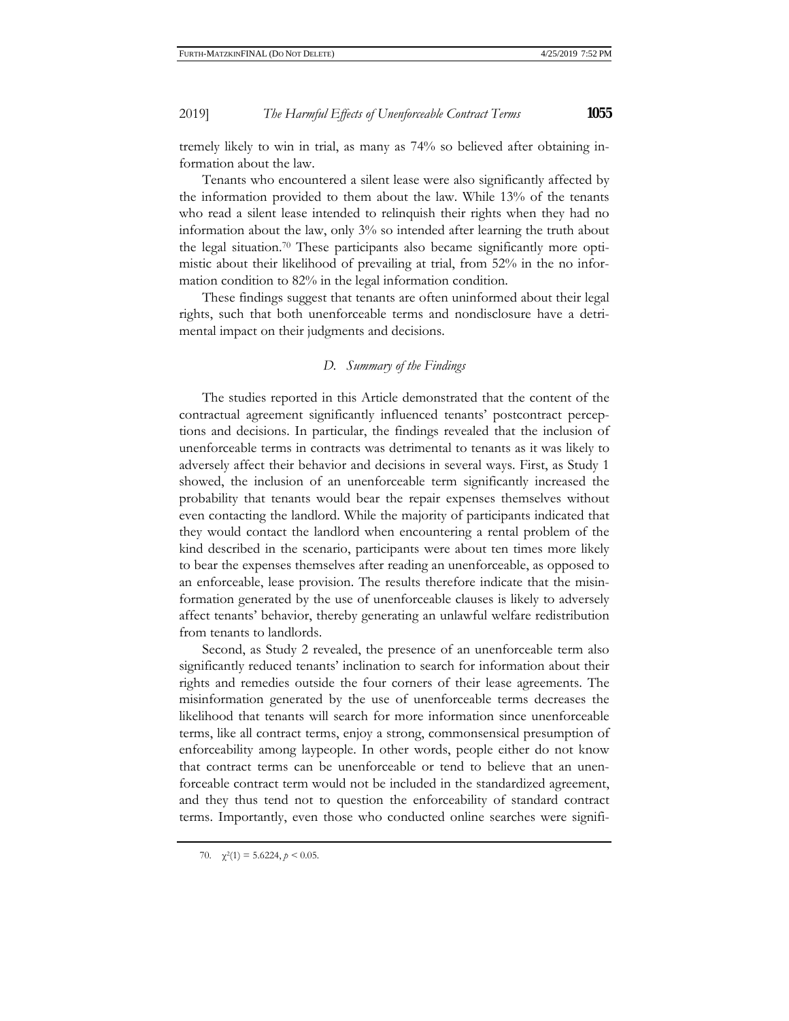tremely likely to win in trial, as many as 74% so believed after obtaining information about the law.

Tenants who encountered a silent lease were also significantly affected by the information provided to them about the law. While 13% of the tenants who read a silent lease intended to relinquish their rights when they had no information about the law, only 3% so intended after learning the truth about the legal situation.70 These participants also became significantly more optimistic about their likelihood of prevailing at trial, from 52% in the no information condition to 82% in the legal information condition.

These findings suggest that tenants are often uninformed about their legal rights, such that both unenforceable terms and nondisclosure have a detrimental impact on their judgments and decisions.

## *D. Summary of the Findings*

The studies reported in this Article demonstrated that the content of the contractual agreement significantly influenced tenants' postcontract perceptions and decisions. In particular, the findings revealed that the inclusion of unenforceable terms in contracts was detrimental to tenants as it was likely to adversely affect their behavior and decisions in several ways. First, as Study 1 showed, the inclusion of an unenforceable term significantly increased the probability that tenants would bear the repair expenses themselves without even contacting the landlord. While the majority of participants indicated that they would contact the landlord when encountering a rental problem of the kind described in the scenario, participants were about ten times more likely to bear the expenses themselves after reading an unenforceable, as opposed to an enforceable, lease provision. The results therefore indicate that the misinformation generated by the use of unenforceable clauses is likely to adversely affect tenants' behavior, thereby generating an unlawful welfare redistribution from tenants to landlords.

Second, as Study 2 revealed, the presence of an unenforceable term also significantly reduced tenants' inclination to search for information about their rights and remedies outside the four corners of their lease agreements. The misinformation generated by the use of unenforceable terms decreases the likelihood that tenants will search for more information since unenforceable terms, like all contract terms, enjoy a strong, commonsensical presumption of enforceability among laypeople. In other words, people either do not know that contract terms can be unenforceable or tend to believe that an unenforceable contract term would not be included in the standardized agreement, and they thus tend not to question the enforceability of standard contract terms. Importantly, even those who conducted online searches were signifi-

70.  $\chi^2(1) = 5.6224, p < 0.05$ .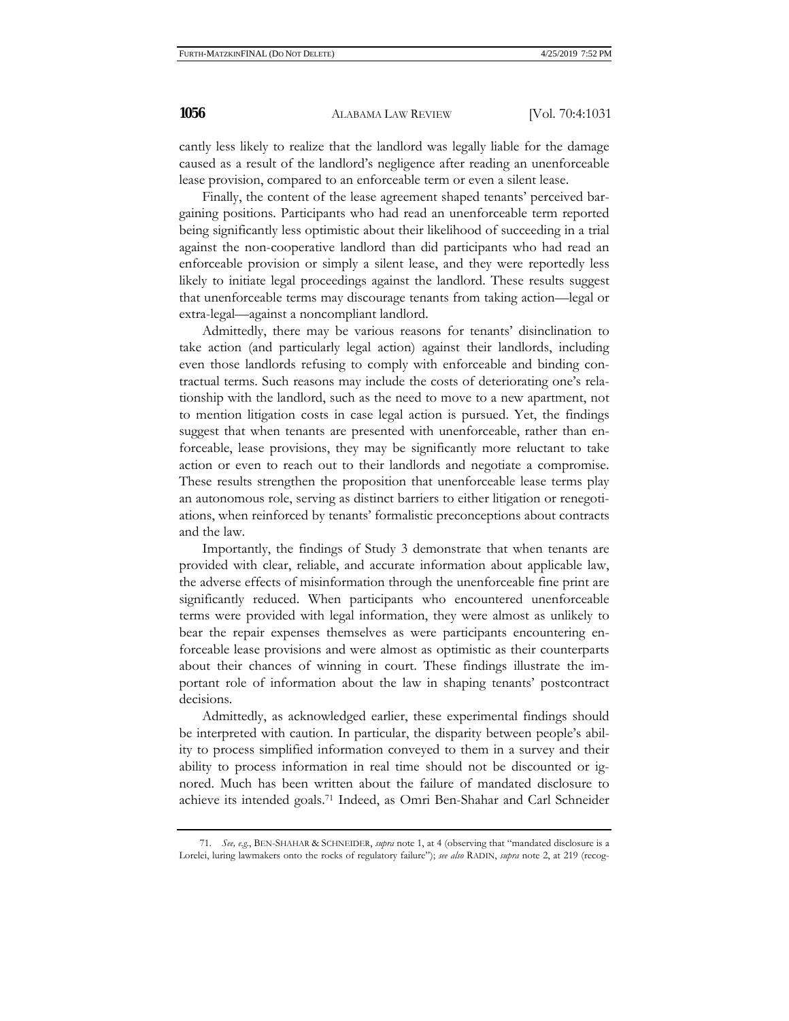cantly less likely to realize that the landlord was legally liable for the damage caused as a result of the landlord's negligence after reading an unenforceable lease provision, compared to an enforceable term or even a silent lease.

Finally, the content of the lease agreement shaped tenants' perceived bargaining positions. Participants who had read an unenforceable term reported being significantly less optimistic about their likelihood of succeeding in a trial against the non-cooperative landlord than did participants who had read an enforceable provision or simply a silent lease, and they were reportedly less likely to initiate legal proceedings against the landlord. These results suggest that unenforceable terms may discourage tenants from taking action—legal or extra-legal—against a noncompliant landlord.

Admittedly, there may be various reasons for tenants' disinclination to take action (and particularly legal action) against their landlords, including even those landlords refusing to comply with enforceable and binding contractual terms. Such reasons may include the costs of deteriorating one's relationship with the landlord, such as the need to move to a new apartment, not to mention litigation costs in case legal action is pursued. Yet, the findings suggest that when tenants are presented with unenforceable, rather than enforceable, lease provisions, they may be significantly more reluctant to take action or even to reach out to their landlords and negotiate a compromise. These results strengthen the proposition that unenforceable lease terms play an autonomous role, serving as distinct barriers to either litigation or renegotiations, when reinforced by tenants' formalistic preconceptions about contracts and the law.

Importantly, the findings of Study 3 demonstrate that when tenants are provided with clear, reliable, and accurate information about applicable law, the adverse effects of misinformation through the unenforceable fine print are significantly reduced. When participants who encountered unenforceable terms were provided with legal information, they were almost as unlikely to bear the repair expenses themselves as were participants encountering enforceable lease provisions and were almost as optimistic as their counterparts about their chances of winning in court. These findings illustrate the important role of information about the law in shaping tenants' postcontract decisions.

Admittedly, as acknowledged earlier, these experimental findings should be interpreted with caution. In particular, the disparity between people's ability to process simplified information conveyed to them in a survey and their ability to process information in real time should not be discounted or ignored. Much has been written about the failure of mandated disclosure to achieve its intended goals.71 Indeed, as Omri Ben-Shahar and Carl Schneider

<sup>71.</sup> *See, e.g.*, BEN-SHAHAR & SCHNEIDER, *supra* note 1, at 4 (observing that "mandated disclosure is a Lorelei, luring lawmakers onto the rocks of regulatory failure"); *see also* RADIN, *supra* note 2, at 219 (recog-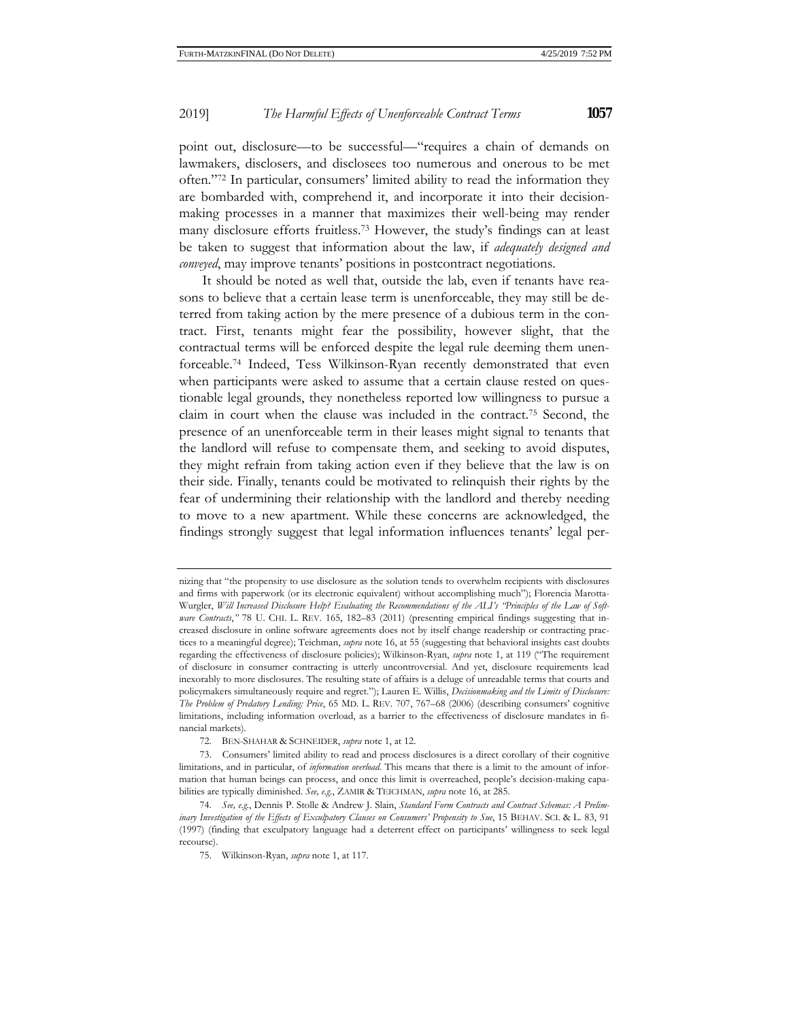point out, disclosure—to be successful—"requires a chain of demands on lawmakers, disclosers, and disclosees too numerous and onerous to be met often."72 In particular, consumers' limited ability to read the information they are bombarded with, comprehend it, and incorporate it into their decisionmaking processes in a manner that maximizes their well-being may render many disclosure efforts fruitless.73 However, the study's findings can at least be taken to suggest that information about the law, if *adequately designed and conveyed*, may improve tenants' positions in postcontract negotiations.

It should be noted as well that, outside the lab, even if tenants have reasons to believe that a certain lease term is unenforceable, they may still be deterred from taking action by the mere presence of a dubious term in the contract. First, tenants might fear the possibility, however slight, that the contractual terms will be enforced despite the legal rule deeming them unenforceable.74 Indeed, Tess Wilkinson-Ryan recently demonstrated that even when participants were asked to assume that a certain clause rested on questionable legal grounds, they nonetheless reported low willingness to pursue a claim in court when the clause was included in the contract.75 Second, the presence of an unenforceable term in their leases might signal to tenants that the landlord will refuse to compensate them, and seeking to avoid disputes, they might refrain from taking action even if they believe that the law is on their side. Finally, tenants could be motivated to relinquish their rights by the fear of undermining their relationship with the landlord and thereby needing to move to a new apartment. While these concerns are acknowledged, the findings strongly suggest that legal information influences tenants' legal per-

nizing that "the propensity to use disclosure as the solution tends to overwhelm recipients with disclosures and firms with paperwork (or its electronic equivalent) without accomplishing much"); Florencia Marotta-Wurgler, *Will Increased Disclosure Help? Evaluating the Recommendations of the ALI's "Principles of the Law of Software Contracts*," 78 U. CHI. L. REV. 165, 182-83 (2011) (presenting empirical findings suggesting that increased disclosure in online software agreements does not by itself change readership or contracting practices to a meaningful degree); Teichman, *supra* note 16, at 55 (suggesting that behavioral insights cast doubts regarding the effectiveness of disclosure policies); Wilkinson-Ryan, *supra* note 1, at 119 ("The requirement of disclosure in consumer contracting is utterly uncontroversial. And yet, disclosure requirements lead inexorably to more disclosures. The resulting state of affairs is a deluge of unreadable terms that courts and policymakers simultaneously require and regret."); Lauren E. Willis, *Decisionmaking and the Limits of Disclosure: The Problem of Predatory Lending: Price*, 65 MD. L. REV. 707, 767–68 (2006) (describing consumers' cognitive limitations, including information overload, as a barrier to the effectiveness of disclosure mandates in financial markets).

<sup>72.</sup> BEN-SHAHAR & SCHNEIDER, *supra* note 1, at 12.

<sup>73.</sup> Consumers' limited ability to read and process disclosures is a direct corollary of their cognitive limitations, and in particular, of *information overload*. This means that there is a limit to the amount of information that human beings can process, and once this limit is overreached, people's decision-making capabilities are typically diminished. *See, e.g.*, ZAMIR & TEICHMAN, *supra* note 16, at 285.

<sup>74.</sup> *See, e.g.*, Dennis P. Stolle & Andrew J. Slain, *Standard Form Contracts and Contract Schemas: A Preliminary Investigation of the Effects of Exculpatory Clauses on Consumers' Propensity to Sue*, 15 BEHAV. SCI. & L. 83, 91 (1997) (finding that exculpatory language had a deterrent effect on participants' willingness to seek legal recourse).

<sup>75.</sup> Wilkinson-Ryan, *supra* note 1, at 117.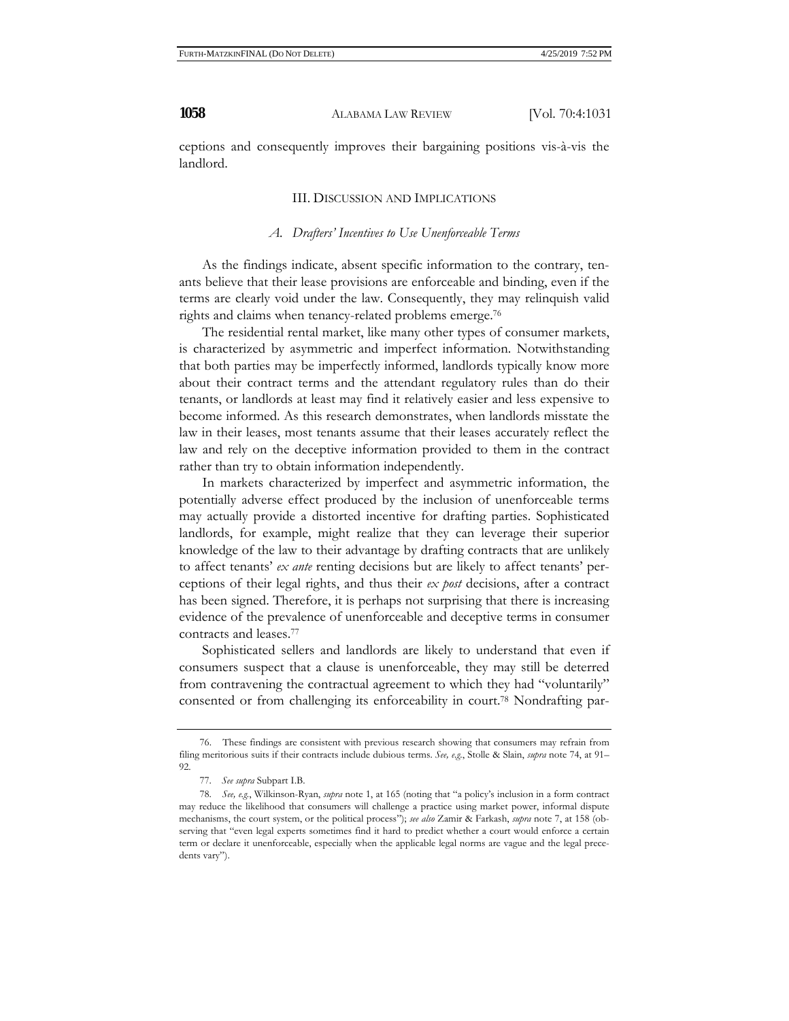ceptions and consequently improves their bargaining positions vis-à-vis the landlord.

## III. DISCUSSION AND IMPLICATIONS

#### *A. Drafters' Incentives to Use Unenforceable Terms*

As the findings indicate, absent specific information to the contrary, tenants believe that their lease provisions are enforceable and binding, even if the terms are clearly void under the law. Consequently, they may relinquish valid rights and claims when tenancy-related problems emerge.76

The residential rental market, like many other types of consumer markets, is characterized by asymmetric and imperfect information. Notwithstanding that both parties may be imperfectly informed, landlords typically know more about their contract terms and the attendant regulatory rules than do their tenants, or landlords at least may find it relatively easier and less expensive to become informed. As this research demonstrates, when landlords misstate the law in their leases, most tenants assume that their leases accurately reflect the law and rely on the deceptive information provided to them in the contract rather than try to obtain information independently.

In markets characterized by imperfect and asymmetric information, the potentially adverse effect produced by the inclusion of unenforceable terms may actually provide a distorted incentive for drafting parties. Sophisticated landlords, for example, might realize that they can leverage their superior knowledge of the law to their advantage by drafting contracts that are unlikely to affect tenants' *ex ante* renting decisions but are likely to affect tenants' perceptions of their legal rights, and thus their *ex post* decisions, after a contract has been signed. Therefore, it is perhaps not surprising that there is increasing evidence of the prevalence of unenforceable and deceptive terms in consumer contracts and leases.77

Sophisticated sellers and landlords are likely to understand that even if consumers suspect that a clause is unenforceable, they may still be deterred from contravening the contractual agreement to which they had "voluntarily" consented or from challenging its enforceability in court.78 Nondrafting par-

<sup>76.</sup> These findings are consistent with previous research showing that consumers may refrain from filing meritorious suits if their contracts include dubious terms. *See, e.g.*, Stolle & Slain, *supra* note 74, at 91– 92.

<sup>77.</sup> *See supra* Subpart I.B.

<sup>78.</sup> *See, e.g.*, Wilkinson-Ryan, *supra* note 1, at 165 (noting that "a policy's inclusion in a form contract may reduce the likelihood that consumers will challenge a practice using market power, informal dispute mechanisms, the court system, or the political process"); *see also* Zamir & Farkash, *supra* note 7, at 158 (observing that "even legal experts sometimes find it hard to predict whether a court would enforce a certain term or declare it unenforceable, especially when the applicable legal norms are vague and the legal precedents vary").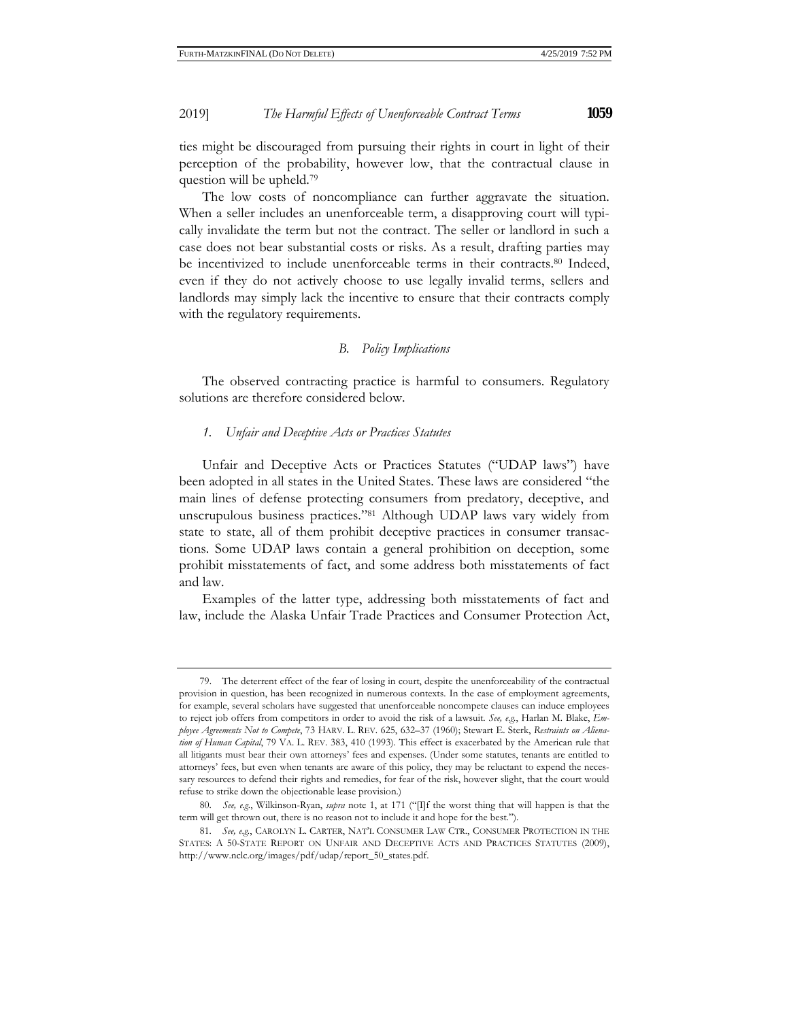ties might be discouraged from pursuing their rights in court in light of their perception of the probability, however low, that the contractual clause in question will be upheld.79

The low costs of noncompliance can further aggravate the situation. When a seller includes an unenforceable term, a disapproving court will typically invalidate the term but not the contract. The seller or landlord in such a case does not bear substantial costs or risks. As a result, drafting parties may be incentivized to include unenforceable terms in their contracts.80 Indeed, even if they do not actively choose to use legally invalid terms, sellers and landlords may simply lack the incentive to ensure that their contracts comply with the regulatory requirements.

## *B. Policy Implications*

The observed contracting practice is harmful to consumers. Regulatory solutions are therefore considered below.

## *1. Unfair and Deceptive Acts or Practices Statutes*

Unfair and Deceptive Acts or Practices Statutes ("UDAP laws") have been adopted in all states in the United States. These laws are considered "the main lines of defense protecting consumers from predatory, deceptive, and unscrupulous business practices."81 Although UDAP laws vary widely from state to state, all of them prohibit deceptive practices in consumer transactions. Some UDAP laws contain a general prohibition on deception, some prohibit misstatements of fact, and some address both misstatements of fact and law.

Examples of the latter type, addressing both misstatements of fact and law, include the Alaska Unfair Trade Practices and Consumer Protection Act,

<sup>79.</sup> The deterrent effect of the fear of losing in court, despite the unenforceability of the contractual provision in question, has been recognized in numerous contexts. In the case of employment agreements, for example, several scholars have suggested that unenforceable noncompete clauses can induce employees to reject job offers from competitors in order to avoid the risk of a lawsuit. *See, e.g.*, Harlan M. Blake, *Employee Agreements Not to Compete*, 73 HARV. L. REV. 625, 632–37 (1960); Stewart E. Sterk, *Restraints on Alienation of Human Capital*, 79 VA. L. REV. 383, 410 (1993). This effect is exacerbated by the American rule that all litigants must bear their own attorneys' fees and expenses. (Under some statutes, tenants are entitled to attorneys' fees, but even when tenants are aware of this policy, they may be reluctant to expend the necessary resources to defend their rights and remedies, for fear of the risk, however slight, that the court would refuse to strike down the objectionable lease provision.)

<sup>80.</sup> *See, e.g.*, Wilkinson-Ryan, *supra* note 1, at 171 ("[I]f the worst thing that will happen is that the term will get thrown out, there is no reason not to include it and hope for the best.").

<sup>81.</sup> *See, e.g.*, CAROLYN L. CARTER, NAT'L CONSUMER LAW CTR., CONSUMER PROTECTION IN THE STATES: A 50-STATE REPORT ON UNFAIR AND DECEPTIVE ACTS AND PRACTICES STATUTES (2009), http://www.nclc.org/images/pdf/udap/report\_50\_states.pdf.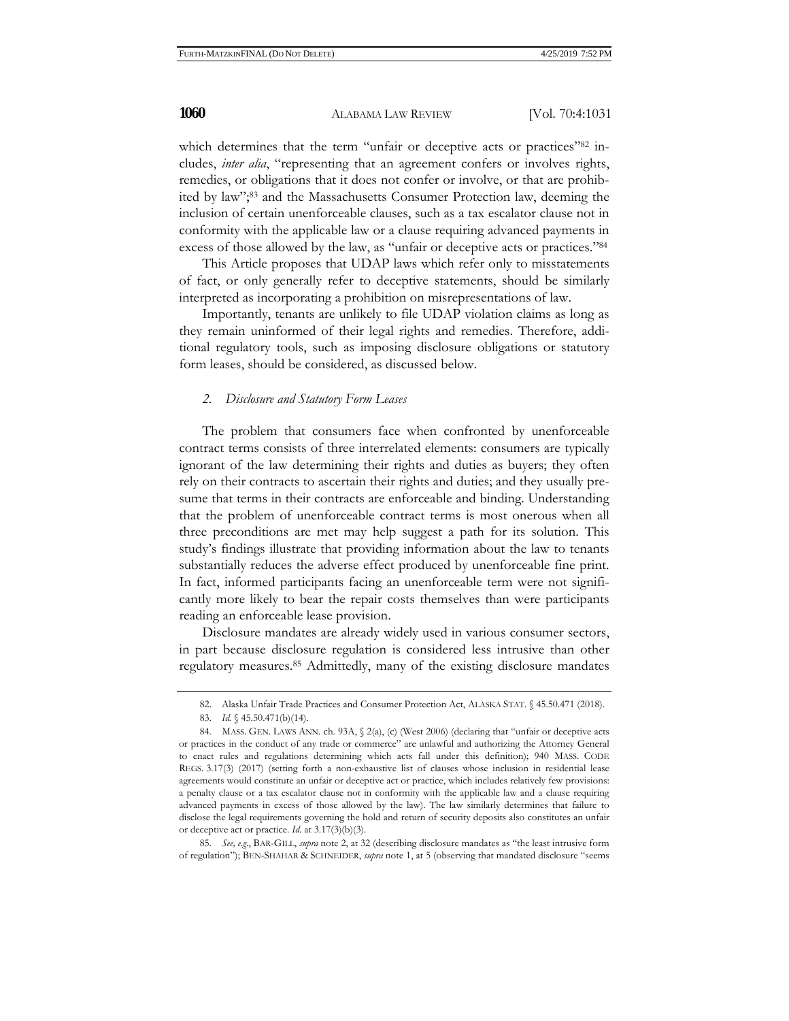which determines that the term "unfair or deceptive acts or practices"<sup>82</sup> includes, *inter alia*, "representing that an agreement confers or involves rights, remedies, or obligations that it does not confer or involve, or that are prohibited by law";83 and the Massachusetts Consumer Protection law, deeming the inclusion of certain unenforceable clauses, such as a tax escalator clause not in conformity with the applicable law or a clause requiring advanced payments in excess of those allowed by the law, as "unfair or deceptive acts or practices."84

This Article proposes that UDAP laws which refer only to misstatements of fact, or only generally refer to deceptive statements, should be similarly interpreted as incorporating a prohibition on misrepresentations of law.

Importantly, tenants are unlikely to file UDAP violation claims as long as they remain uninformed of their legal rights and remedies. Therefore, additional regulatory tools, such as imposing disclosure obligations or statutory form leases, should be considered, as discussed below.

## *2. Disclosure and Statutory Form Leases*

The problem that consumers face when confronted by unenforceable contract terms consists of three interrelated elements: consumers are typically ignorant of the law determining their rights and duties as buyers; they often rely on their contracts to ascertain their rights and duties; and they usually presume that terms in their contracts are enforceable and binding. Understanding that the problem of unenforceable contract terms is most onerous when all three preconditions are met may help suggest a path for its solution. This study's findings illustrate that providing information about the law to tenants substantially reduces the adverse effect produced by unenforceable fine print. In fact, informed participants facing an unenforceable term were not significantly more likely to bear the repair costs themselves than were participants reading an enforceable lease provision.

Disclosure mandates are already widely used in various consumer sectors, in part because disclosure regulation is considered less intrusive than other regulatory measures.85 Admittedly, many of the existing disclosure mandates

85. *See, e.g.*, BAR-GILL, *supra* note 2, at 32 (describing disclosure mandates as "the least intrusive form of regulation"); BEN-SHAHAR & SCHNEIDER, *supra* note 1, at 5 (observing that mandated disclosure "seems

<sup>82.</sup> Alaska Unfair Trade Practices and Consumer Protection Act, ALASKA STAT. § 45.50.471 (2018).

<sup>83.</sup> *Id.* § 45.50.471(b)(14).

<sup>84.</sup> MASS. GEN. LAWS ANN. ch. 93A, § 2(a), (c) (West 2006) (declaring that "unfair or deceptive acts or practices in the conduct of any trade or commerce" are unlawful and authorizing the Attorney General to enact rules and regulations determining which acts fall under this definition); 940 MASS. CODE REGS. 3.17(3) (2017) (setting forth a non-exhaustive list of clauses whose inclusion in residential lease agreements would constitute an unfair or deceptive act or practice, which includes relatively few provisions: a penalty clause or a tax escalator clause not in conformity with the applicable law and a clause requiring advanced payments in excess of those allowed by the law). The law similarly determines that failure to disclose the legal requirements governing the hold and return of security deposits also constitutes an unfair or deceptive act or practice. *Id.* at 3.17(3)(b)(3).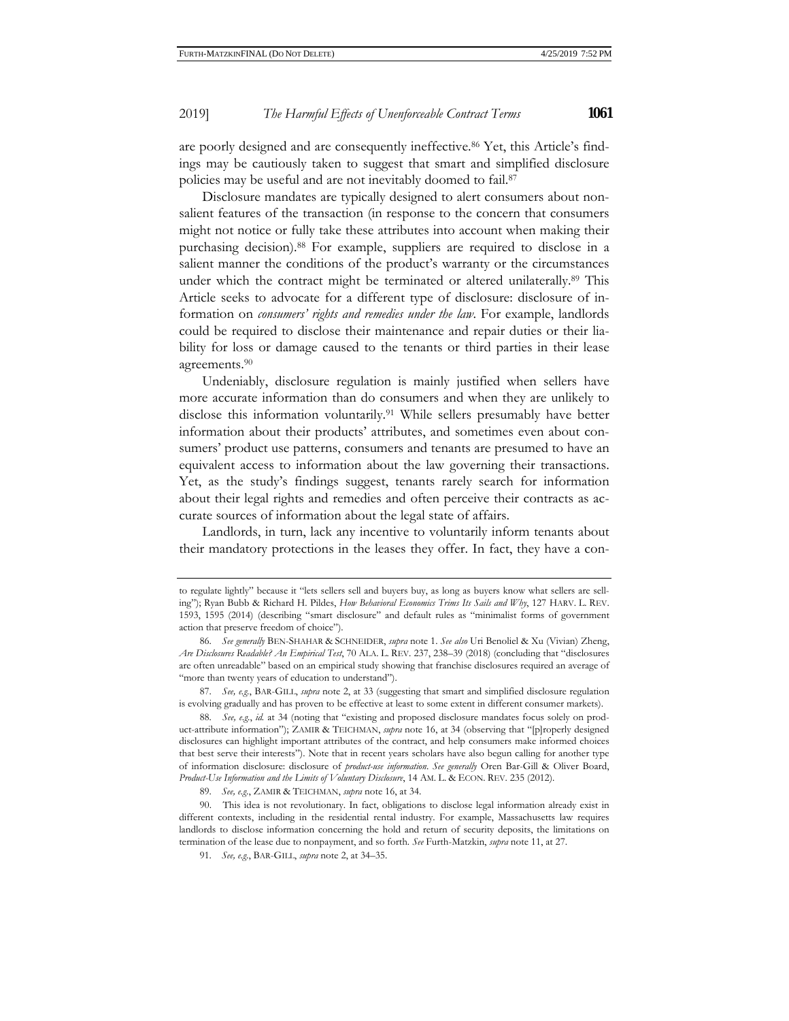are poorly designed and are consequently ineffective.86 Yet, this Article's findings may be cautiously taken to suggest that smart and simplified disclosure policies may be useful and are not inevitably doomed to fail.87

Disclosure mandates are typically designed to alert consumers about nonsalient features of the transaction (in response to the concern that consumers might not notice or fully take these attributes into account when making their purchasing decision).88 For example, suppliers are required to disclose in a salient manner the conditions of the product's warranty or the circumstances under which the contract might be terminated or altered unilaterally.<sup>89</sup> This Article seeks to advocate for a different type of disclosure: disclosure of information on *consumers' rights and remedies under the law*. For example, landlords could be required to disclose their maintenance and repair duties or their liability for loss or damage caused to the tenants or third parties in their lease agreements.90

Undeniably, disclosure regulation is mainly justified when sellers have more accurate information than do consumers and when they are unlikely to disclose this information voluntarily.91 While sellers presumably have better information about their products' attributes, and sometimes even about consumers' product use patterns, consumers and tenants are presumed to have an equivalent access to information about the law governing their transactions. Yet, as the study's findings suggest, tenants rarely search for information about their legal rights and remedies and often perceive their contracts as accurate sources of information about the legal state of affairs.

Landlords, in turn, lack any incentive to voluntarily inform tenants about their mandatory protections in the leases they offer. In fact, they have a con-

to regulate lightly" because it "lets sellers sell and buyers buy, as long as buyers know what sellers are selling"); Ryan Bubb & Richard H. Pildes, *How Behavioral Economics Trims Its Sails and Why*, 127 HARV. L. REV. 1593, 1595 (2014) (describing "smart disclosure" and default rules as "minimalist forms of government action that preserve freedom of choice").

<sup>86.</sup> *See generally* BEN-SHAHAR & SCHNEIDER, *supra* note 1. *See also* Uri Benoliel & Xu (Vivian) Zheng, *Are Disclosures Readable? An Empirical Test*, 70 ALA. L. REV. 237, 238–39 (2018) (concluding that "disclosures are often unreadable" based on an empirical study showing that franchise disclosures required an average of "more than twenty years of education to understand").

<sup>87.</sup> *See, e.g.*, BAR-GILL, *supra* note 2, at 33 (suggesting that smart and simplified disclosure regulation is evolving gradually and has proven to be effective at least to some extent in different consumer markets).

<sup>88.</sup> *See, e.g.*, *id.* at 34 (noting that "existing and proposed disclosure mandates focus solely on product-attribute information"); ZAMIR & TEICHMAN, *supra* note 16, at 34 (observing that "[p]roperly designed disclosures can highlight important attributes of the contract, and help consumers make informed choices that best serve their interests"). Note that in recent years scholars have also begun calling for another type of information disclosure: disclosure of *product-use information*. *See generally* Oren Bar-Gill & Oliver Board, *Product-Use Information and the Limits of Voluntary Disclosure*, 14 AM. L. & ECON. REV. 235 (2012).

<sup>89.</sup> *See, e.g.*, ZAMIR & TEICHMAN, *supra* note 16, at 34.

<sup>90.</sup> This idea is not revolutionary. In fact, obligations to disclose legal information already exist in different contexts, including in the residential rental industry. For example, Massachusetts law requires landlords to disclose information concerning the hold and return of security deposits, the limitations on termination of the lease due to nonpayment, and so forth. *See* Furth-Matzkin, *supra* note 11, at 27.

<sup>91.</sup> *See, e.g.*, BAR-GILL, *supra* note 2, at 34–35.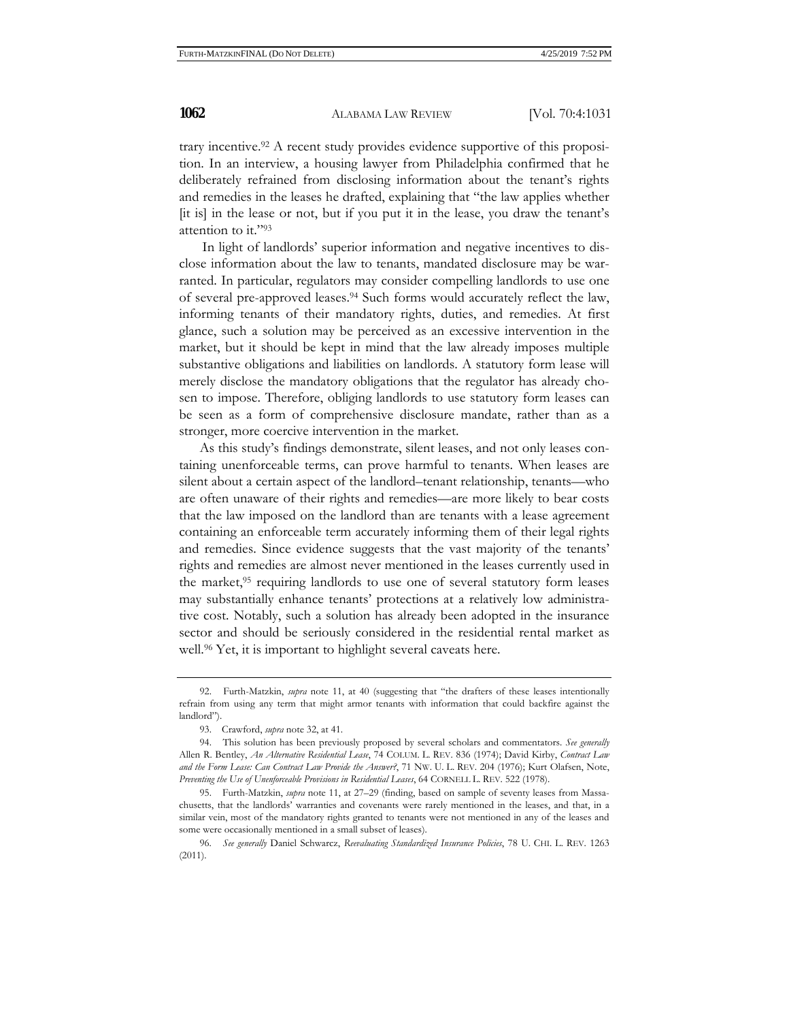trary incentive.92 A recent study provides evidence supportive of this proposition. In an interview, a housing lawyer from Philadelphia confirmed that he deliberately refrained from disclosing information about the tenant's rights and remedies in the leases he drafted, explaining that "the law applies whether [it is] in the lease or not, but if you put it in the lease, you draw the tenant's attention to it."93

In light of landlords' superior information and negative incentives to disclose information about the law to tenants, mandated disclosure may be warranted. In particular, regulators may consider compelling landlords to use one of several pre-approved leases.94 Such forms would accurately reflect the law, informing tenants of their mandatory rights, duties, and remedies. At first glance, such a solution may be perceived as an excessive intervention in the market, but it should be kept in mind that the law already imposes multiple substantive obligations and liabilities on landlords. A statutory form lease will merely disclose the mandatory obligations that the regulator has already chosen to impose. Therefore, obliging landlords to use statutory form leases can be seen as a form of comprehensive disclosure mandate, rather than as a stronger, more coercive intervention in the market.

 As this study's findings demonstrate, silent leases, and not only leases containing unenforceable terms, can prove harmful to tenants. When leases are silent about a certain aspect of the landlord–tenant relationship, tenants—who are often unaware of their rights and remedies—are more likely to bear costs that the law imposed on the landlord than are tenants with a lease agreement containing an enforceable term accurately informing them of their legal rights and remedies. Since evidence suggests that the vast majority of the tenants' rights and remedies are almost never mentioned in the leases currently used in the market,<sup>95</sup> requiring landlords to use one of several statutory form leases may substantially enhance tenants' protections at a relatively low administrative cost. Notably, such a solution has already been adopted in the insurance sector and should be seriously considered in the residential rental market as well.<sup>96</sup> Yet, it is important to highlight several caveats here.

<sup>92.</sup> Furth-Matzkin, *supra* note 11, at 40 (suggesting that "the drafters of these leases intentionally refrain from using any term that might armor tenants with information that could backfire against the landlord").

<sup>93.</sup> Crawford, *supra* note 32, at 41.

<sup>94.</sup> This solution has been previously proposed by several scholars and commentators. *See generally* Allen R. Bentley, *An Alternative Residential Lease*, 74 COLUM. L. REV. 836 (1974); David Kirby, *Contract Law and the Form Lease: Can Contract Law Provide the Answer?*, 71 NW. U. L. REV. 204 (1976); Kurt Olafsen, Note, *Preventing the Use of Unenforceable Provisions in Residential Leases*, 64 CORNELL L. REV. 522 (1978).

<sup>95.</sup> Furth-Matzkin, *supra* note 11, at 27–29 (finding, based on sample of seventy leases from Massachusetts, that the landlords' warranties and covenants were rarely mentioned in the leases, and that, in a similar vein, most of the mandatory rights granted to tenants were not mentioned in any of the leases and some were occasionally mentioned in a small subset of leases).

<sup>96.</sup> *See generally* Daniel Schwarcz, *Reevaluating Standardized Insurance Policies*, 78 U. CHI. L. REV. 1263 (2011).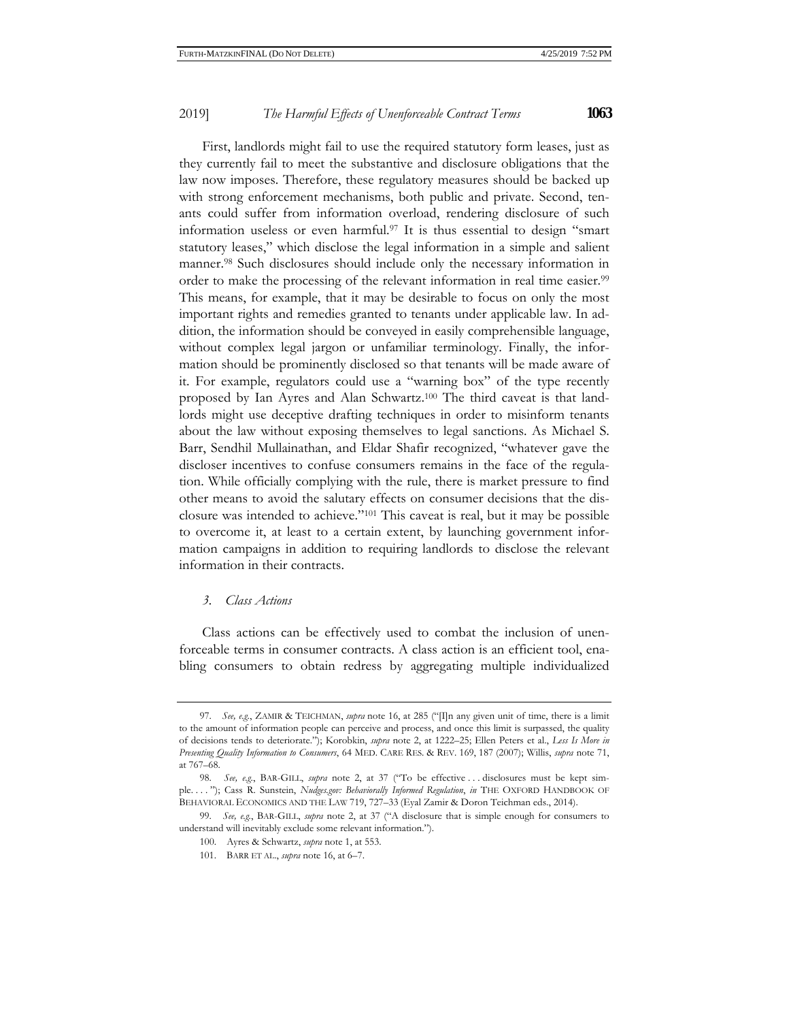First, landlords might fail to use the required statutory form leases, just as they currently fail to meet the substantive and disclosure obligations that the law now imposes. Therefore, these regulatory measures should be backed up with strong enforcement mechanisms, both public and private. Second, tenants could suffer from information overload, rendering disclosure of such information useless or even harmful.97 It is thus essential to design "smart statutory leases," which disclose the legal information in a simple and salient manner.98 Such disclosures should include only the necessary information in order to make the processing of the relevant information in real time easier.<sup>99</sup> This means, for example, that it may be desirable to focus on only the most important rights and remedies granted to tenants under applicable law. In addition, the information should be conveyed in easily comprehensible language, without complex legal jargon or unfamiliar terminology. Finally, the information should be prominently disclosed so that tenants will be made aware of it. For example, regulators could use a "warning box" of the type recently proposed by Ian Ayres and Alan Schwartz.100 The third caveat is that landlords might use deceptive drafting techniques in order to misinform tenants about the law without exposing themselves to legal sanctions. As Michael S. Barr, Sendhil Mullainathan, and Eldar Shafir recognized, "whatever gave the discloser incentives to confuse consumers remains in the face of the regulation. While officially complying with the rule, there is market pressure to find other means to avoid the salutary effects on consumer decisions that the disclosure was intended to achieve."101 This caveat is real, but it may be possible to overcome it, at least to a certain extent, by launching government information campaigns in addition to requiring landlords to disclose the relevant information in their contracts.

## *3. Class Actions*

Class actions can be effectively used to combat the inclusion of unenforceable terms in consumer contracts. A class action is an efficient tool, enabling consumers to obtain redress by aggregating multiple individualized

<sup>97.</sup> *See, e.g.*, ZAMIR & TEICHMAN, *supra* note 16, at 285 ("[I]n any given unit of time, there is a limit to the amount of information people can perceive and process, and once this limit is surpassed, the quality of decisions tends to deteriorate."); Korobkin, *supra* note 2, at 1222–25; Ellen Peters et al., *Less Is More in Presenting Quality Information to Consumers*, 64 MED. CARE RES. & REV. 169, 187 (2007); Willis, *supra* note 71, at 767–68.

<sup>98.</sup> *See, e.g.*, BAR-GILL, *supra* note 2, at 37 ("To be effective . . . disclosures must be kept simple. . . . "); Cass R. Sunstein, *Nudges.gov: Behaviorally Informed Regulation*, *in* THE OXFORD HANDBOOK OF BEHAVIORAL ECONOMICS AND THE LAW 719, 727–33 (Eyal Zamir & Doron Teichman eds., 2014).

<sup>99.</sup> *See, e.g.*, BAR-GILL, *supra* note 2, at 37 ("A disclosure that is simple enough for consumers to understand will inevitably exclude some relevant information.").

<sup>100.</sup> Ayres & Schwartz, *supra* note 1, at 553.

<sup>101.</sup> BARR ET AL., *supra* note 16, at 6–7.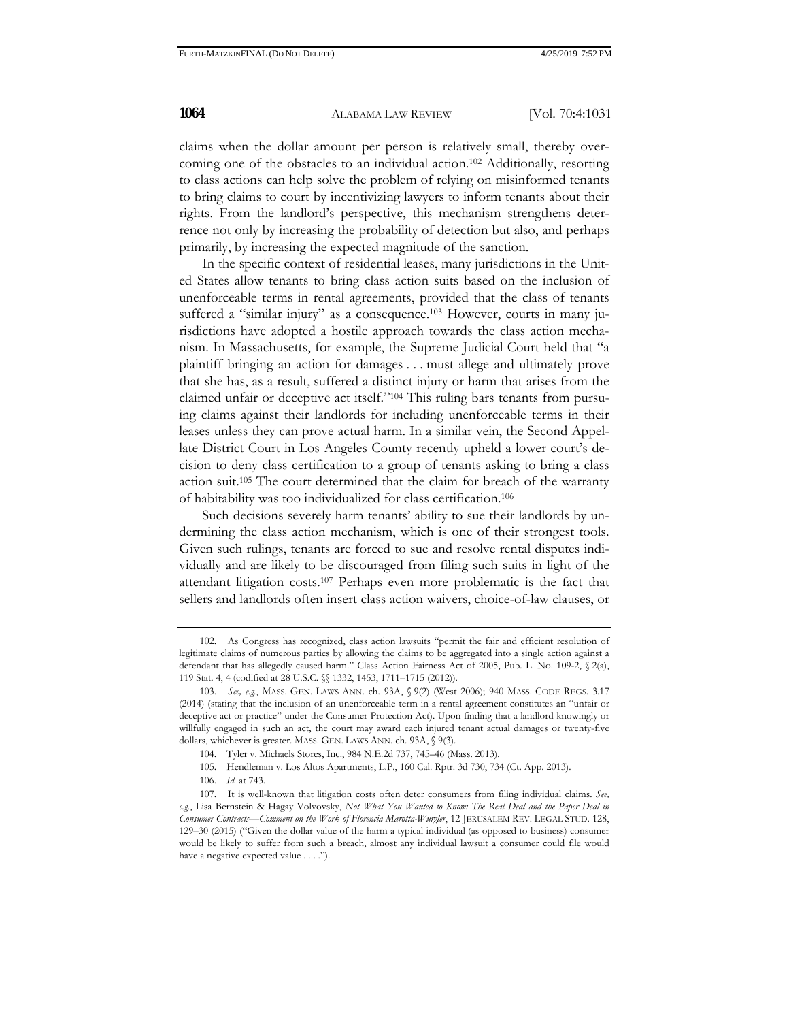claims when the dollar amount per person is relatively small, thereby overcoming one of the obstacles to an individual action.102 Additionally, resorting to class actions can help solve the problem of relying on misinformed tenants to bring claims to court by incentivizing lawyers to inform tenants about their rights. From the landlord's perspective, this mechanism strengthens deterrence not only by increasing the probability of detection but also, and perhaps primarily, by increasing the expected magnitude of the sanction.

In the specific context of residential leases, many jurisdictions in the United States allow tenants to bring class action suits based on the inclusion of unenforceable terms in rental agreements, provided that the class of tenants suffered a "similar injury" as a consequence.<sup>103</sup> However, courts in many jurisdictions have adopted a hostile approach towards the class action mechanism. In Massachusetts, for example, the Supreme Judicial Court held that "a plaintiff bringing an action for damages . . . must allege and ultimately prove that she has, as a result, suffered a distinct injury or harm that arises from the claimed unfair or deceptive act itself."104 This ruling bars tenants from pursuing claims against their landlords for including unenforceable terms in their leases unless they can prove actual harm. In a similar vein, the Second Appellate District Court in Los Angeles County recently upheld a lower court's decision to deny class certification to a group of tenants asking to bring a class action suit.105 The court determined that the claim for breach of the warranty of habitability was too individualized for class certification.106

Such decisions severely harm tenants' ability to sue their landlords by undermining the class action mechanism, which is one of their strongest tools. Given such rulings, tenants are forced to sue and resolve rental disputes individually and are likely to be discouraged from filing such suits in light of the attendant litigation costs.107 Perhaps even more problematic is the fact that sellers and landlords often insert class action waivers, choice-of-law clauses, or

<sup>102.</sup> As Congress has recognized, class action lawsuits "permit the fair and efficient resolution of legitimate claims of numerous parties by allowing the claims to be aggregated into a single action against a defendant that has allegedly caused harm." Class Action Fairness Act of 2005, Pub. L. No. 109-2, § 2(a), 119 Stat. 4, 4 (codified at 28 U.S.C. §§ 1332, 1453, 1711–1715 (2012)).

<sup>103.</sup> *See, e.g.*, MASS. GEN. LAWS ANN. ch. 93A, § 9(2) (West 2006); 940 MASS. CODE REGS. 3.17 (2014) (stating that the inclusion of an unenforceable term in a rental agreement constitutes an "unfair or deceptive act or practice" under the Consumer Protection Act). Upon finding that a landlord knowingly or willfully engaged in such an act, the court may award each injured tenant actual damages or twenty-five dollars, whichever is greater. MASS. GEN. LAWS ANN. ch. 93A, § 9(3).

<sup>104.</sup> Tyler v. Michaels Stores, Inc., 984 N.E.2d 737, 745–46 (Mass. 2013).

<sup>105.</sup> Hendleman v. Los Altos Apartments, L.P., 160 Cal. Rptr. 3d 730, 734 (Ct. App. 2013).

<sup>106.</sup> *Id.* at 743.

<sup>107.</sup> It is well-known that litigation costs often deter consumers from filing individual claims. *See, e.g.*, Lisa Bernstein & Hagay Volvovsky, *Not What You Wanted to Know: The Real Deal and the Paper Deal in Consumer Contracts*—*Comment on the Work of Florencia Marotta-Wurgler*, 12 JERUSALEM REV. LEGAL STUD. 128, 129–30 (2015) ("Given the dollar value of the harm a typical individual (as opposed to business) consumer would be likely to suffer from such a breach, almost any individual lawsuit a consumer could file would have a negative expected value . . . .").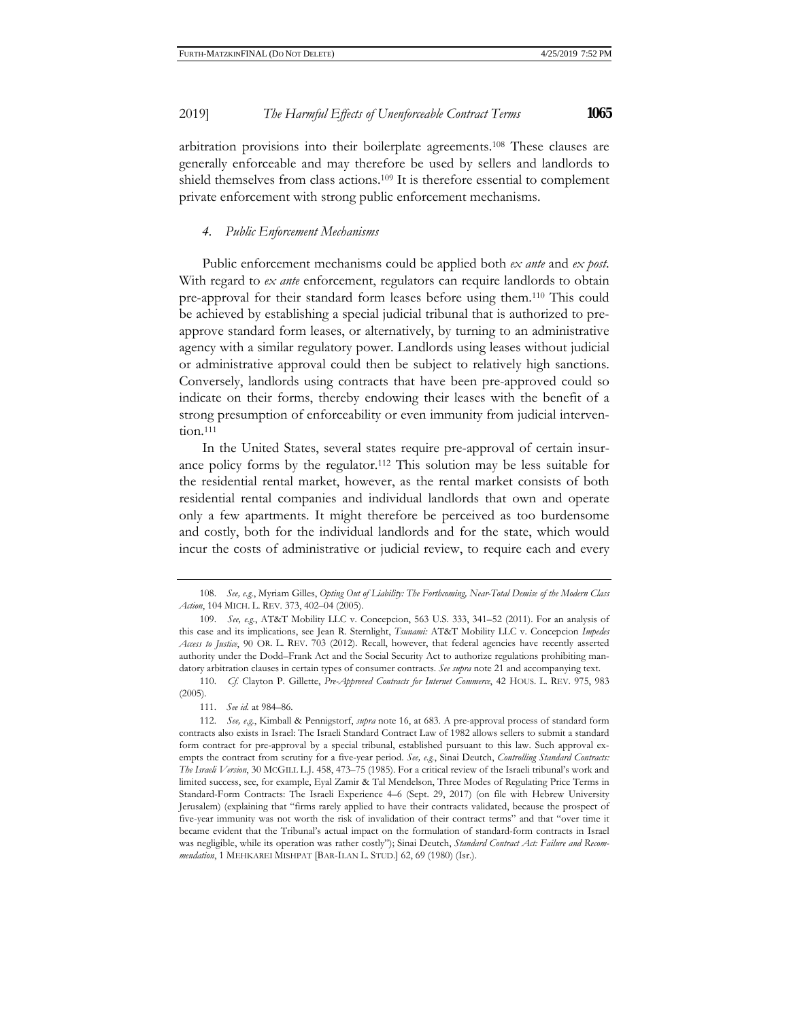arbitration provisions into their boilerplate agreements.108 These clauses are generally enforceable and may therefore be used by sellers and landlords to shield themselves from class actions.109 It is therefore essential to complement private enforcement with strong public enforcement mechanisms.

## *4. Public Enforcement Mechanisms*

Public enforcement mechanisms could be applied both *ex ante* and *ex post*. With regard to *ex ante* enforcement, regulators can require landlords to obtain pre-approval for their standard form leases before using them.110 This could be achieved by establishing a special judicial tribunal that is authorized to preapprove standard form leases, or alternatively, by turning to an administrative agency with a similar regulatory power. Landlords using leases without judicial or administrative approval could then be subject to relatively high sanctions. Conversely, landlords using contracts that have been pre-approved could so indicate on their forms, thereby endowing their leases with the benefit of a strong presumption of enforceability or even immunity from judicial intervention.<sup>111</sup>

In the United States, several states require pre-approval of certain insurance policy forms by the regulator.112 This solution may be less suitable for the residential rental market, however, as the rental market consists of both residential rental companies and individual landlords that own and operate only a few apartments. It might therefore be perceived as too burdensome and costly, both for the individual landlords and for the state, which would incur the costs of administrative or judicial review, to require each and every

<sup>108.</sup> *See, e.g.*, Myriam Gilles, *Opting Out of Liability: The Forthcoming, Near-Total Demise of the Modern Class Action*, 104 MICH. L. REV. 373, 402–04 (2005).

<sup>109.</sup> *See, e.g.*, AT&T Mobility LLC v. Concepcion, 563 U.S. 333, 341–52 (2011). For an analysis of this case and its implications, see Jean R. Sternlight, *Tsunami:* AT&T Mobility LLC v. Concepcion *Impedes Access to Justice*, 90 OR. L. REV. 703 (2012). Recall, however, that federal agencies have recently asserted authority under the Dodd–Frank Act and the Social Security Act to authorize regulations prohibiting mandatory arbitration clauses in certain types of consumer contracts. *See supra* note 21 and accompanying text.

<sup>110.</sup> *Cf.* Clayton P. Gillette, *Pre-Approved Contracts for Internet Commerce*, 42 HOUS. L. REV. 975, 983 (2005).

<sup>111.</sup> *See id.* at 984–86.

<sup>112.</sup> *See, e.g*., Kimball & Pennigstorf, *supra* note 16, at 683. A pre-approval process of standard form contracts also exists in Israel: The Israeli Standard Contract Law of 1982 allows sellers to submit a standard form contract for pre-approval by a special tribunal, established pursuant to this law. Such approval exempts the contract from scrutiny for a five-year period. *See, e.g.*, Sinai Deutch, *Controlling Standard Contracts: The Israeli Version*, 30 MCGILL L.J. 458, 473–75 (1985). For a critical review of the Israeli tribunal's work and limited success, see, for example, Eyal Zamir & Tal Mendelson, Three Modes of Regulating Price Terms in Standard-Form Contracts: The Israeli Experience 4–6 (Sept. 29, 2017) (on file with Hebrew University Jerusalem) (explaining that "firms rarely applied to have their contracts validated, because the prospect of five-year immunity was not worth the risk of invalidation of their contract terms" and that "over time it became evident that the Tribunal's actual impact on the formulation of standard-form contracts in Israel was negligible, while its operation was rather costly"); Sinai Deutch, *Standard Contract Act: Failure and Recommendation*, 1 MEHKAREI MISHPAT [BAR-ILAN L. STUD.] 62, 69 (1980) (Isr.).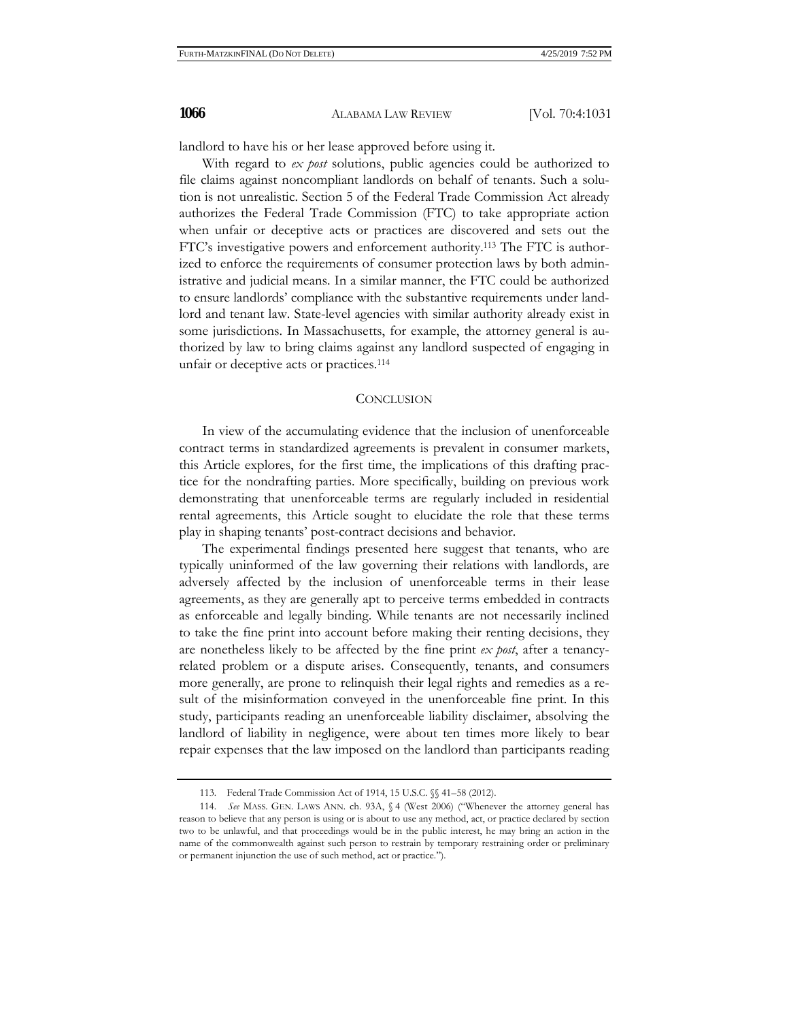landlord to have his or her lease approved before using it.

With regard to *ex post* solutions, public agencies could be authorized to file claims against noncompliant landlords on behalf of tenants. Such a solution is not unrealistic. Section 5 of the Federal Trade Commission Act already authorizes the Federal Trade Commission (FTC) to take appropriate action when unfair or deceptive acts or practices are discovered and sets out the FTC's investigative powers and enforcement authority.113 The FTC is authorized to enforce the requirements of consumer protection laws by both administrative and judicial means. In a similar manner, the FTC could be authorized to ensure landlords' compliance with the substantive requirements under landlord and tenant law. State-level agencies with similar authority already exist in some jurisdictions. In Massachusetts, for example, the attorney general is authorized by law to bring claims against any landlord suspected of engaging in unfair or deceptive acts or practices.114

#### **CONCLUSION**

In view of the accumulating evidence that the inclusion of unenforceable contract terms in standardized agreements is prevalent in consumer markets, this Article explores, for the first time, the implications of this drafting practice for the nondrafting parties. More specifically, building on previous work demonstrating that unenforceable terms are regularly included in residential rental agreements, this Article sought to elucidate the role that these terms play in shaping tenants' post-contract decisions and behavior.

The experimental findings presented here suggest that tenants, who are typically uninformed of the law governing their relations with landlords, are adversely affected by the inclusion of unenforceable terms in their lease agreements, as they are generally apt to perceive terms embedded in contracts as enforceable and legally binding. While tenants are not necessarily inclined to take the fine print into account before making their renting decisions, they are nonetheless likely to be affected by the fine print *ex post*, after a tenancyrelated problem or a dispute arises. Consequently, tenants, and consumers more generally, are prone to relinquish their legal rights and remedies as a result of the misinformation conveyed in the unenforceable fine print. In this study, participants reading an unenforceable liability disclaimer, absolving the landlord of liability in negligence, were about ten times more likely to bear repair expenses that the law imposed on the landlord than participants reading

<sup>113.</sup> Federal Trade Commission Act of 1914, 15 U.S.C. §§ 41–58 (2012).

<sup>114.</sup> *See* MASS. GEN. LAWS ANN. ch. 93A, § 4 (West 2006) ("Whenever the attorney general has reason to believe that any person is using or is about to use any method, act, or practice declared by section two to be unlawful, and that proceedings would be in the public interest, he may bring an action in the name of the commonwealth against such person to restrain by temporary restraining order or preliminary or permanent injunction the use of such method, act or practice.").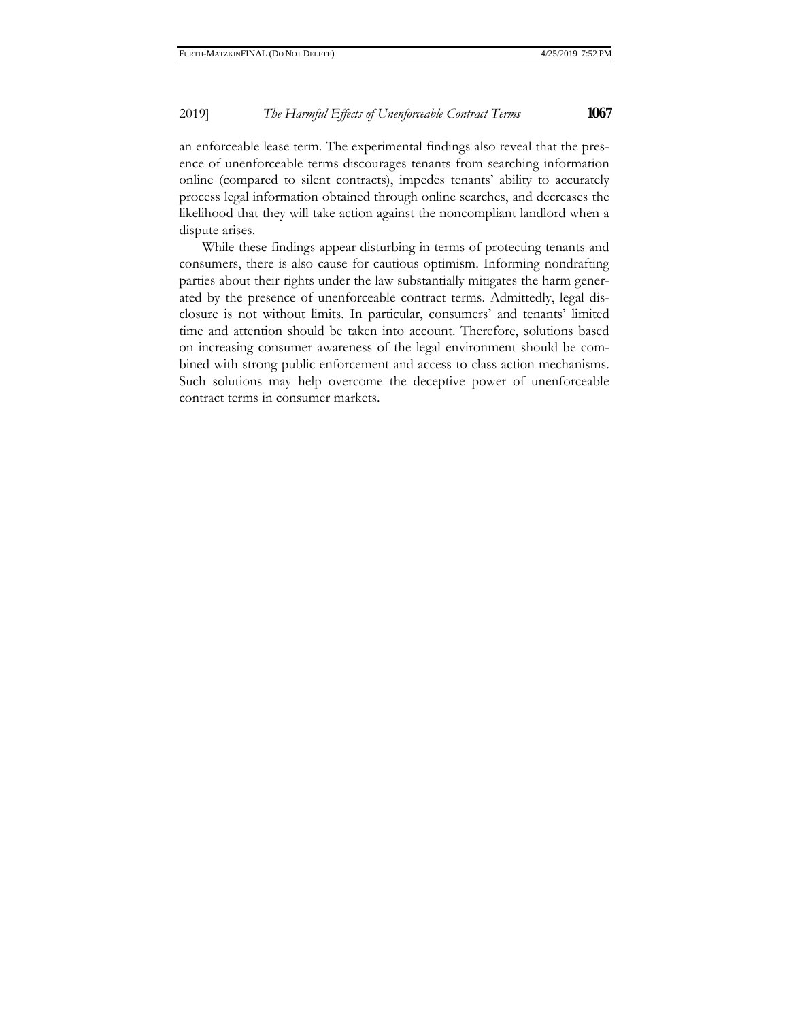an enforceable lease term. The experimental findings also reveal that the presence of unenforceable terms discourages tenants from searching information online (compared to silent contracts), impedes tenants' ability to accurately process legal information obtained through online searches, and decreases the likelihood that they will take action against the noncompliant landlord when a dispute arises.

While these findings appear disturbing in terms of protecting tenants and consumers, there is also cause for cautious optimism. Informing nondrafting parties about their rights under the law substantially mitigates the harm generated by the presence of unenforceable contract terms. Admittedly, legal disclosure is not without limits. In particular, consumers' and tenants' limited time and attention should be taken into account. Therefore, solutions based on increasing consumer awareness of the legal environment should be combined with strong public enforcement and access to class action mechanisms. Such solutions may help overcome the deceptive power of unenforceable contract terms in consumer markets.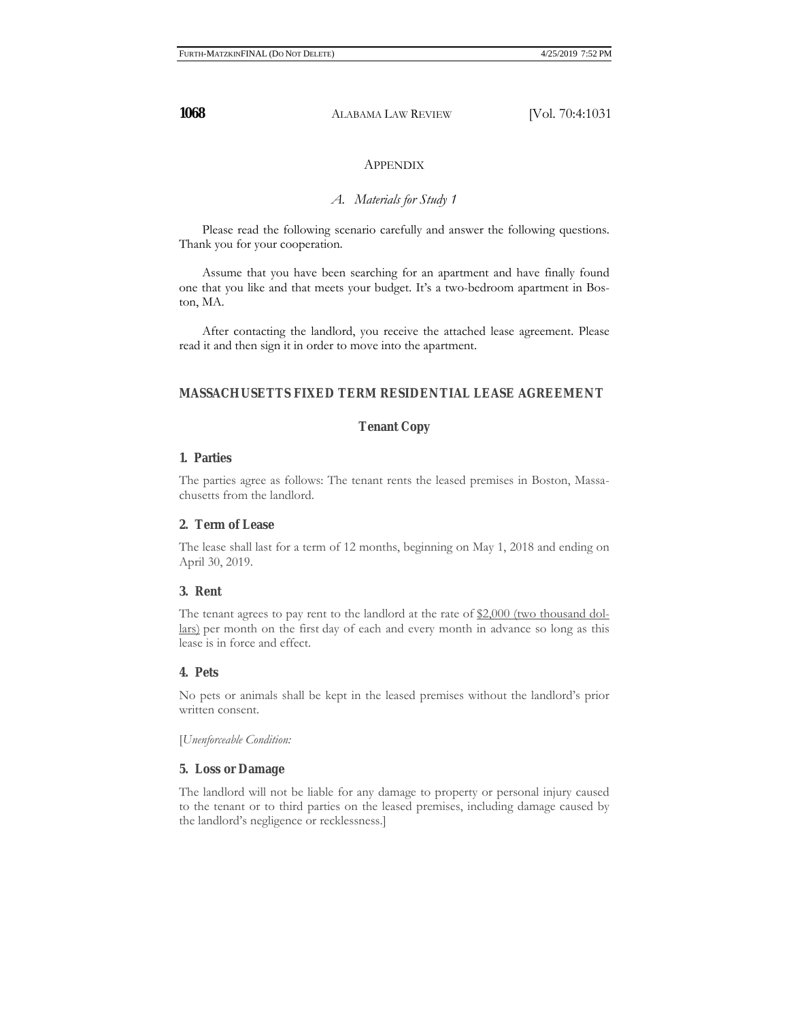# APPENDIX

# *A. Materials for Study 1*

Please read the following scenario carefully and answer the following questions. Thank you for your cooperation.

Assume that you have been searching for an apartment and have finally found one that you like and that meets your budget. It's a two-bedroom apartment in Boston, MA.

After contacting the landlord, you receive the attached lease agreement. Please read it and then sign it in order to move into the apartment.

# **MASSACHUSETTS FIXED TERM RESIDENTIAL LEASE AGREEMENT**

# **Tenant Copy**

# **1. Parties**

The parties agree as follows: The tenant rents the leased premises in Boston, Massachusetts from the landlord.

# **2. Term of Lease**

The lease shall last for a term of 12 months, beginning on May 1, 2018 and ending on April 30, 2019.

# **3. Rent**

The tenant agrees to pay rent to the landlord at the rate of \$2,000 (two thousand dollars) per month on the first day of each and every month in advance so long as this lease is in force and effect.

# **4. Pets**

No pets or animals shall be kept in the leased premises without the landlord's prior written consent.

[*Unenforceable Condition:* 

# **5. Loss or Damage**

The landlord will not be liable for any damage to property or personal injury caused to the tenant or to third parties on the leased premises, including damage caused by the landlord's negligence or recklessness.]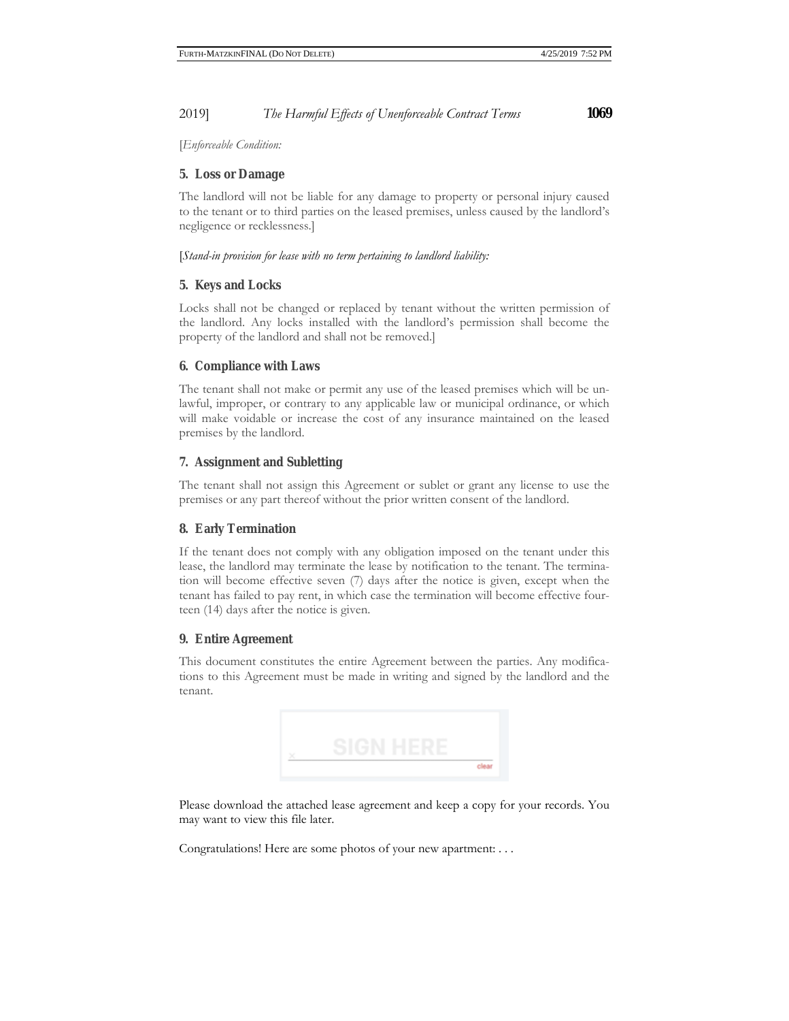[*Enforceable Condition:*

# **5. Loss or Damage**

The landlord will not be liable for any damage to property or personal injury caused to the tenant or to third parties on the leased premises, unless caused by the landlord's negligence or recklessness.]

[*Stand-in provision for lease with no term pertaining to landlord liability:* 

# **5. Keys and Locks**

Locks shall not be changed or replaced by tenant without the written permission of the landlord. Any locks installed with the landlord's permission shall become the property of the landlord and shall not be removed.]

# **6. Compliance with Laws**

The tenant shall not make or permit any use of the leased premises which will be unlawful, improper, or contrary to any applicable law or municipal ordinance, or which will make voidable or increase the cost of any insurance maintained on the leased premises by the landlord.

# **7. Assignment and Subletting**

The tenant shall not assign this Agreement or sublet or grant any license to use the premises or any part thereof without the prior written consent of the landlord.

# **8. Early Termination**

If the tenant does not comply with any obligation imposed on the tenant under this lease, the landlord may terminate the lease by notification to the tenant. The termination will become effective seven (7) days after the notice is given, except when the tenant has failed to pay rent, in which case the termination will become effective fourteen (14) days after the notice is given.

# **9. Entire Agreement**

This document constitutes the entire Agreement between the parties. Any modifications to this Agreement must be made in writing and signed by the landlord and the tenant.



Please download the attached lease agreement and keep a copy for your records. You may want to view this file later.

Congratulations! Here are some photos of your new apartment: . . .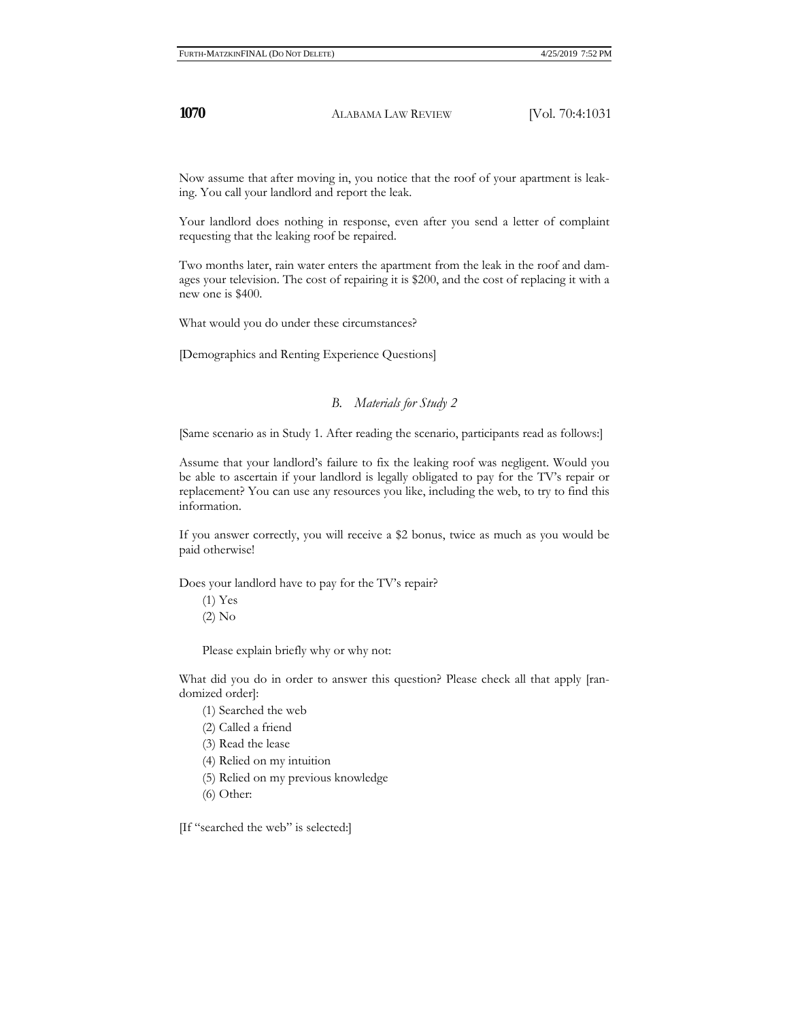Now assume that after moving in, you notice that the roof of your apartment is leaking. You call your landlord and report the leak.

Your landlord does nothing in response, even after you send a letter of complaint requesting that the leaking roof be repaired.

Two months later, rain water enters the apartment from the leak in the roof and damages your television. The cost of repairing it is \$200, and the cost of replacing it with a new one is \$400.

What would you do under these circumstances?

[Demographics and Renting Experience Questions]

# *B. Materials for Study 2*

[Same scenario as in Study 1. After reading the scenario, participants read as follows:]

Assume that your landlord's failure to fix the leaking roof was negligent. Would you be able to ascertain if your landlord is legally obligated to pay for the TV's repair or replacement? You can use any resources you like, including the web, to try to find this information.

If you answer correctly, you will receive a \$2 bonus, twice as much as you would be paid otherwise!

Does your landlord have to pay for the TV's repair?

(1) Yes (2) No

Please explain briefly why or why not:

What did you do in order to answer this question? Please check all that apply [randomized order]:

- (1) Searched the web
- (2) Called a friend
- (3) Read the lease
- (4) Relied on my intuition
- (5) Relied on my previous knowledge
- (6) Other:

[If "searched the web" is selected:]